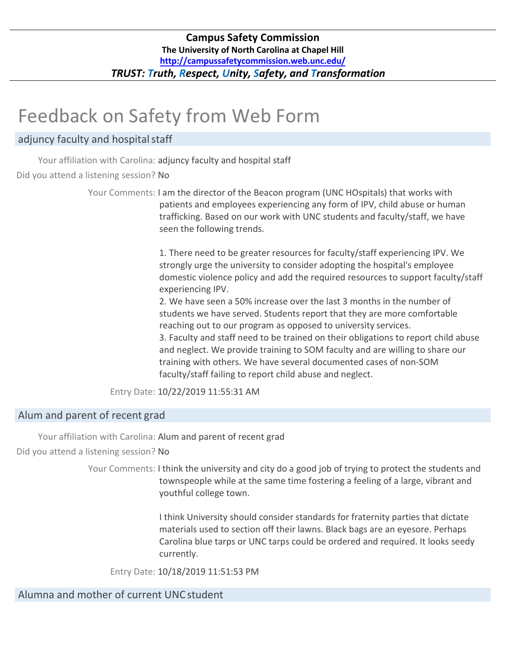# Feedback on Safety from Web Form

# adjuncy faculty and hospital staff

Your affiliation with Carolina: adjuncy faculty and hospital staff Did you attend a listening session? No

> Your Comments: I am the director of the Beacon program (UNC HOspitals) that works with patients and employees experiencing any form of IPV, child abuse or human trafficking. Based on our work with UNC students and faculty/staff, we have seen the following trends.

> > 1. There need to be greater resources for faculty/staff experiencing IPV. We strongly urge the university to consider adopting the hospital's employee domestic violence policy and add the required resources to support faculty/staff experiencing IPV.

2. We have seen a 50% increase over the last 3 months in the number of students we have served. Students report that they are more comfortable reaching out to our program as opposed to university services.

3. Faculty and staff need to be trained on their obligations to report child abuse and neglect. We provide training to SOM faculty and are willing to share our training with others. We have several documented cases of non‐SOM faculty/staff failing to report child abuse and neglect.

Entry Date: 10/22/2019 11:55:31 AM

# Alum and parent of recent grad

Your affiliation with Carolina: Alum and parent of recent grad

Did you attend a listening session? No

Your Comments: I think the university and city do a good job of trying to protect the students and townspeople while at the same time fostering a feeling of a large, vibrant and youthful college town.

> I think University should consider standards for fraternity parties that dictate materials used to section off their lawns. Black bags are an eyesore. Perhaps Carolina blue tarps or UNC tarps could be ordered and required. It looks seedy currently.

Entry Date: 10/18/2019 11:51:53 PM

Alumna and mother of current UNCstudent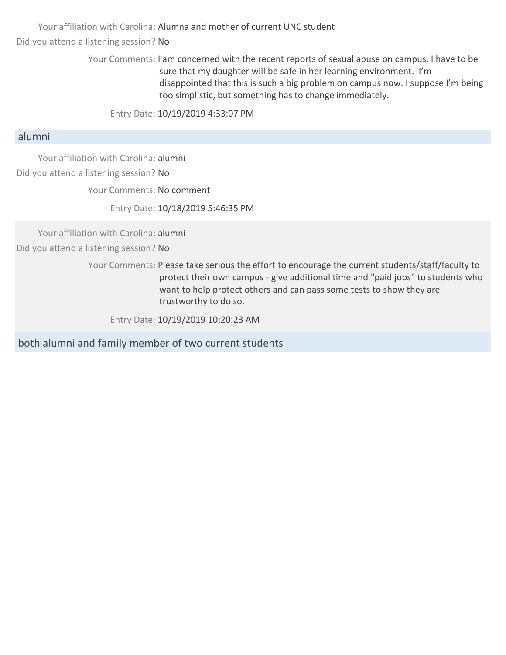Your affiliation with Carolina: Alumna and mother of current UNC student Did you attend a listening session? No

> Your Comments: I am concerned with the recent reports of sexual abuse on campus. I have to be sure that my daughter will be safe in her learning environment. I'm disappointed that this is such a big problem on campus now. I suppose I'm being too simplistic, but something has to change immediately.

Entry Date: 10/19/2019 4:33:07 PM

## alumni

Your affiliation with Carolina: alumni

Did you attend a listening session? No

Your Comments: No comment

Entry Date: 10/18/2019 5:46:35 PM

Your affiliation with Carolina: alumni Did you attend a listening session? No

> Your Comments: Please take serious the effort to encourage the current students/staff/faculty to protect their own campus ‐ give additional time and "paid jobs" to students who want to help protect others and can pass some tests to show they are trustworthy to do so.

Entry Date: 10/19/2019 10:20:23 AM

both alumni and family member of two current students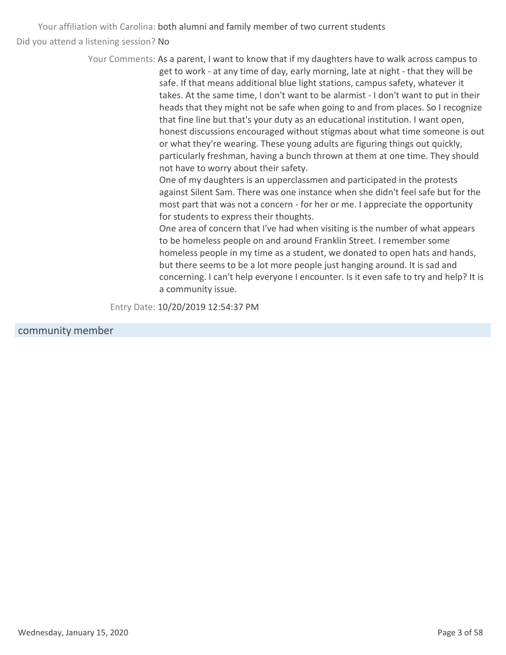> Your Comments: As a parent, I want to know that if my daughters have to walk across campus to get to work ‐ at any time of day, early morning, late at night ‐ that they will be safe. If that means additional blue light stations, campus safety, whatever it takes. At the same time, I don't want to be alarmist ‐ I don't want to put in their heads that they might not be safe when going to and from places. So I recognize that fine line but that's your duty as an educational institution. I want open, honest discussions encouraged without stigmas about what time someone is out or what they're wearing. These young adults are figuring things out quickly, particularly freshman, having a bunch thrown at them at one time. They should not have to worry about their safety.

> > One of my daughters is an upperclassmen and participated in the protests against Silent Sam. There was one instance when she didn't feel safe but for the most part that was not a concern ‐ for her or me. I appreciate the opportunity for students to express their thoughts.

> > One area of concern that I've had when visiting is the number of what appears to be homeless people on and around Franklin Street. I remember some homeless people in my time as a student, we donated to open hats and hands, but there seems to be a lot more people just hanging around. It is sad and concerning. I can't help everyone I encounter. Is it even safe to try and help? It is a community issue.

Entry Date: 10/20/2019 12:54:37 PM

#### community member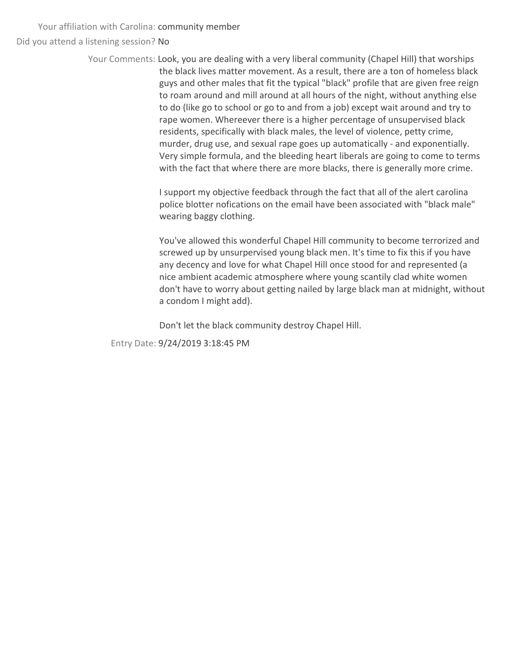Your affiliation with Carolina: community member Did you attend a listening session? No

> Your Comments: Look, you are dealing with a very liberal community (Chapel Hill) that worships the black lives matter movement. As a result, there are a ton of homeless black guys and other males that fit the typical "black" profile that are given free reign to roam around and mill around at all hours of the night, without anything else to do (like go to school or go to and from a job) except wait around and try to rape women. Whereever there is a higher percentage of unsupervised black residents, specifically with black males, the level of violence, petty crime, murder, drug use, and sexual rape goes up automatically ‐ and exponentially. Very simple formula, and the bleeding heart liberals are going to come to terms with the fact that where there are more blacks, there is generally more crime.

> > I support my objective feedback through the fact that all of the alert carolina police blotter nofications on the email have been associated with "black male" wearing baggy clothing.

You've allowed this wonderful Chapel Hill community to become terrorized and screwed up by unsurpervised young black men. It's time to fix this if you have any decency and love for what Chapel Hill once stood for and represented (a nice ambient academic atmosphere where young scantily clad white women don't have to worry about getting nailed by large black man at midnight, without a condom I might add).

Don't let the black community destroy Chapel Hill.

Entry Date: 9/24/2019 3:18:45 PM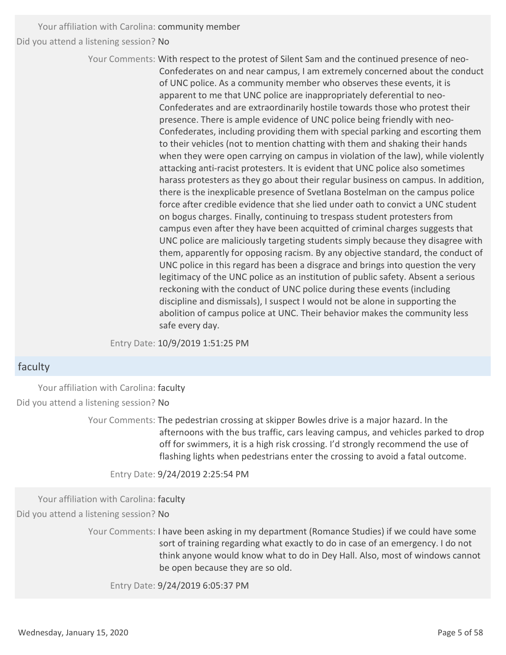Your affiliation with Carolina: community member Did you attend a listening session? No

> Your Comments: With respect to the protest of Silent Sam and the continued presence of neo‐ Confederates on and near campus, I am extremely concerned about the conduct of UNC police. As a community member who observes these events, it is apparent to me that UNC police are inappropriately deferential to neo‐ Confederates and are extraordinarily hostile towards those who protest their presence. There is ample evidence of UNC police being friendly with neo-Confederates, including providing them with special parking and escorting them to their vehicles (not to mention chatting with them and shaking their hands when they were open carrying on campus in violation of the law), while violently attacking anti‐racist protesters. It is evident that UNC police also sometimes harass protesters as they go about their regular business on campus. In addition, there is the inexplicable presence of Svetlana Bostelman on the campus police force after credible evidence that she lied under oath to convict a UNC student on bogus charges. Finally, continuing to trespass student protesters from campus even after they have been acquitted of criminal charges suggests that UNC police are maliciously targeting students simply because they disagree with them, apparently for opposing racism. By any objective standard, the conduct of UNC police in this regard has been a disgrace and brings into question the very legitimacy of the UNC police as an institution of public safety. Absent a serious reckoning with the conduct of UNC police during these events (including discipline and dismissals), I suspect I would not be alone in supporting the abolition of campus police at UNC. Their behavior makes the community less safe every day.

Entry Date: 10/9/2019 1:51:25 PM

## faculty

Your affiliation with Carolina: faculty Did you attend a listening session? No

> Your Comments: The pedestrian crossing at skipper Bowles drive is a major hazard. In the afternoons with the bus traffic, cars leaving campus, and vehicles parked to drop off for swimmers, it is a high risk crossing. I'd strongly recommend the use of flashing lights when pedestrians enter the crossing to avoid a fatal outcome.

Entry Date: 9/24/2019 2:25:54 PM

Your affiliation with Carolina: faculty

Did you attend a listening session? No

Your Comments: I have been asking in my department (Romance Studies) if we could have some sort of training regarding what exactly to do in case of an emergency. I do not think anyone would know what to do in Dey Hall. Also, most of windows cannot be open because they are so old.

Entry Date: 9/24/2019 6:05:37 PM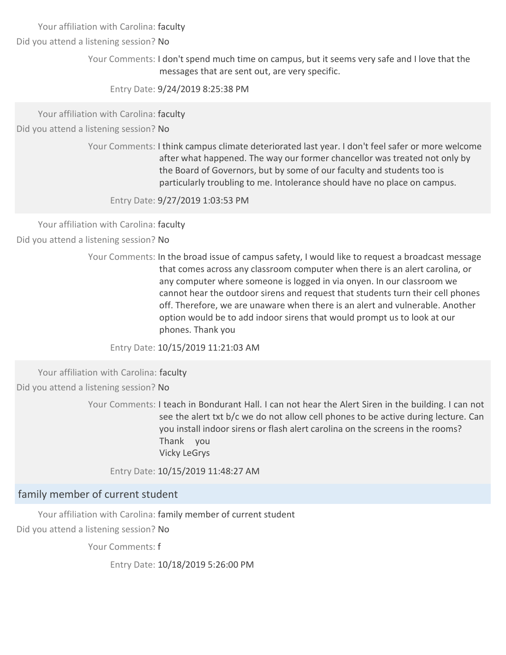Your affiliation with Carolina: faculty

Did you attend a listening session? No

Your Comments: I don't spend much time on campus, but it seems very safe and I love that the messages that are sent out, are very specific.

Entry Date: 9/24/2019 8:25:38 PM

Your affiliation with Carolina: faculty

Did you attend a listening session? No

Your Comments: I think campus climate deteriorated last year. I don't feel safer or more welcome after what happened. The way our former chancellor was treated not only by the Board of Governors, but by some of our faculty and students too is particularly troubling to me. Intolerance should have no place on campus.

Entry Date: 9/27/2019 1:03:53 PM

Your affiliation with Carolina: faculty

Did you attend a listening session? No

Your Comments: In the broad issue of campus safety, I would like to request a broadcast message that comes across any classroom computer when there is an alert carolina, or any computer where someone is logged in via onyen. In our classroom we cannot hear the outdoor sirens and request that students turn their cell phones off. Therefore, we are unaware when there is an alert and vulnerable. Another option would be to add indoor sirens that would prompt us to look at our phones. Thank you

Entry Date: 10/15/2019 11:21:03 AM

Your affiliation with Carolina: faculty Did you attend a listening session? No

> Your Comments: I teach in Bondurant Hall. I can not hear the Alert Siren in the building. I can not see the alert txt b/c we do not allow cell phones to be active during lecture. Can you install indoor sirens or flash alert carolina on the screens in the rooms? Thank you Vicky LeGrys

Entry Date: 10/15/2019 11:48:27 AM

## family member of current student

Your affiliation with Carolina: family member of current student Did you attend a listening session? No

Your Comments: f

Entry Date: 10/18/2019 5:26:00 PM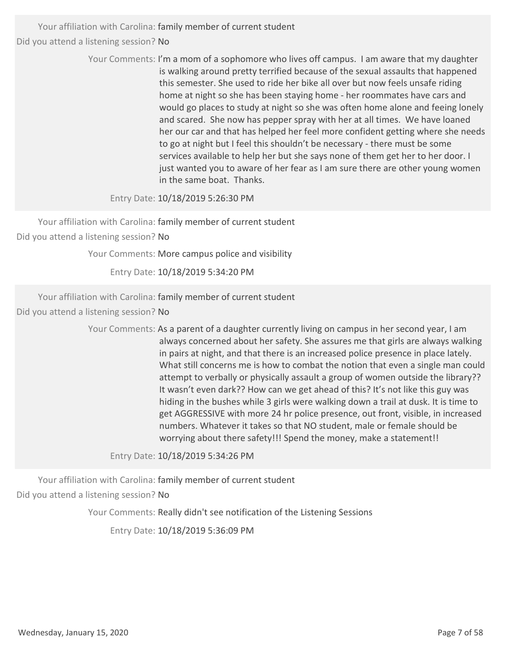> Your Comments: I'm a mom of a sophomore who lives off campus. I am aware that my daughter is walking around pretty terrified because of the sexual assaults that happened this semester. She used to ride her bike all over but now feels unsafe riding home at night so she has been staying home ‐ her roommates have cars and would go places to study at night so she was often home alone and feeing lonely and scared. She now has pepper spray with her at all times. We have loaned her our car and that has helped her feel more confident getting where she needs to go at night but I feel this shouldn't be necessary ‐ there must be some services available to help her but she says none of them get her to her door. I just wanted you to aware of her fear as I am sure there are other young women in the same boat. Thanks.

Entry Date: 10/18/2019 5:26:30 PM

Your affiliation with Carolina: family member of current student Did you attend a listening session? No

Your Comments: More campus police and visibility

Entry Date: 10/18/2019 5:34:20 PM

Your affiliation with Carolina: family member of current student

Did you attend a listening session? No

Your Comments: As a parent of a daughter currently living on campus in her second year, I am always concerned about her safety. She assures me that girls are always walking in pairs at night, and that there is an increased police presence in place lately. What still concerns me is how to combat the notion that even a single man could attempt to verbally or physically assault a group of women outside the library?? It wasn't even dark?? How can we get ahead of this? It's not like this guy was hiding in the bushes while 3 girls were walking down a trail at dusk. It is time to get AGGRESSIVE with more 24 hr police presence, out front, visible, in increased numbers. Whatever it takes so that NO student, male or female should be worrying about there safety!!! Spend the money, make a statement!!

Entry Date: 10/18/2019 5:34:26 PM

Your affiliation with Carolina: family member of current student Did you attend a listening session? No

Your Comments: Really didn't see notification of the Listening Sessions

Entry Date: 10/18/2019 5:36:09 PM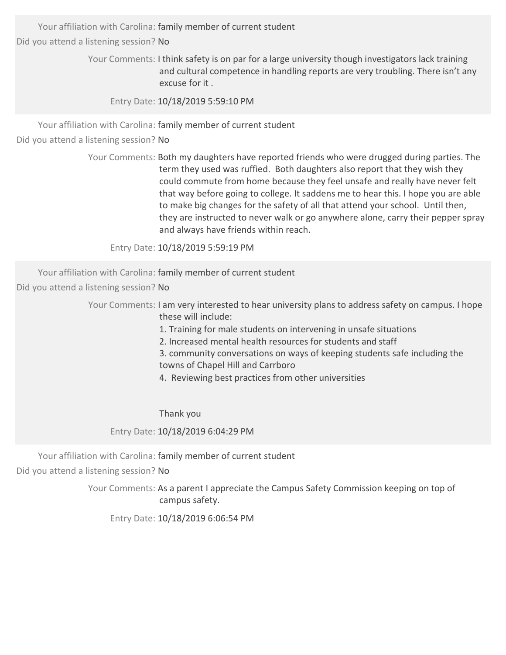Your affiliation with Carolina: family member of current student

Did you attend a listening session? No

Your Comments: I think safety is on par for a large university though investigators lack training and cultural competence in handling reports are very troubling. There isn't any excuse for it .

Entry Date: 10/18/2019 5:59:10 PM

Your affiliation with Carolina: family member of current student

Did you attend a listening session? No

Your Comments: Both my daughters have reported friends who were drugged during parties. The term they used was ruffied. Both daughters also report that they wish they could commute from home because they feel unsafe and really have never felt that way before going to college. It saddens me to hear this. I hope you are able to make big changes for the safety of all that attend your school. Until then, they are instructed to never walk or go anywhere alone, carry their pepper spray and always have friends within reach.

Entry Date: 10/18/2019 5:59:19 PM

Your affiliation with Carolina: family member of current student

Did you attend a listening session? No

Your Comments: I am very interested to hear university plans to address safety on campus. I hope these will include:

- 1. Training for male students on intervening in unsafe situations
- 2. Increased mental health resources for students and staff
- 3. community conversations on ways of keeping students safe including the towns of Chapel Hill and Carrboro
- 4. Reviewing best practices from other universities

Thank you

Entry Date: 10/18/2019 6:04:29 PM

Your affiliation with Carolina: family member of current student

Did you attend a listening session? No

Your Comments: As a parent I appreciate the Campus Safety Commission keeping on top of campus safety.

Entry Date: 10/18/2019 6:06:54 PM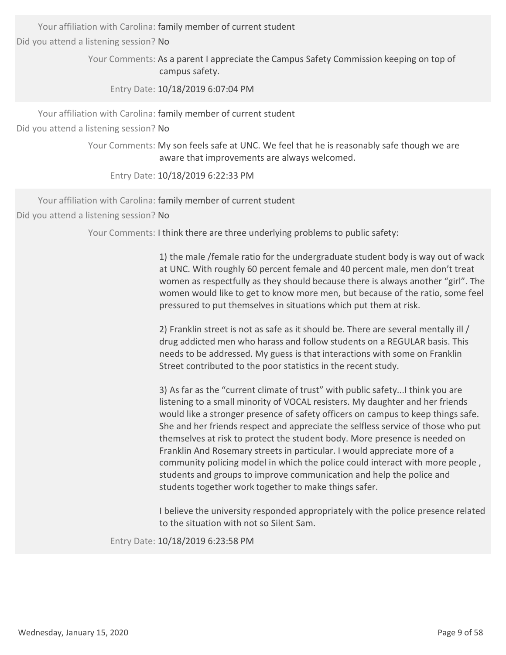Your affiliation with Carolina: family member of current student

Did you attend a listening session? No

Your Comments: As a parent I appreciate the Campus Safety Commission keeping on top of campus safety.

Entry Date: 10/18/2019 6:07:04 PM

Your affiliation with Carolina: family member of current student

Did you attend a listening session? No

Your Comments: My son feels safe at UNC. We feel that he is reasonably safe though we are aware that improvements are always welcomed.

Entry Date: 10/18/2019 6:22:33 PM

Your affiliation with Carolina: family member of current student

Did you attend a listening session? No

Your Comments: I think there are three underlying problems to public safety:

1) the male /female ratio for the undergraduate student body is way out of wack at UNC. With roughly 60 percent female and 40 percent male, men don't treat women as respectfully as they should because there is always another "girl". The women would like to get to know more men, but because of the ratio, some feel pressured to put themselves in situations which put them at risk.

2) Franklin street is not as safe as it should be. There are several mentally ill / drug addicted men who harass and follow students on a REGULAR basis. This needs to be addressed. My guess is that interactions with some on Franklin Street contributed to the poor statistics in the recent study.

3) As far as the "current climate of trust" with public safety...I think you are listening to a small minority of VOCAL resisters. My daughter and her friends would like a stronger presence of safety officers on campus to keep things safe. She and her friends respect and appreciate the selfless service of those who put themselves at risk to protect the student body. More presence is needed on Franklin And Rosemary streets in particular. I would appreciate more of a community policing model in which the police could interact with more people , students and groups to improve communication and help the police and students together work together to make things safer.

I believe the university responded appropriately with the police presence related to the situation with not so Silent Sam.

Entry Date: 10/18/2019 6:23:58 PM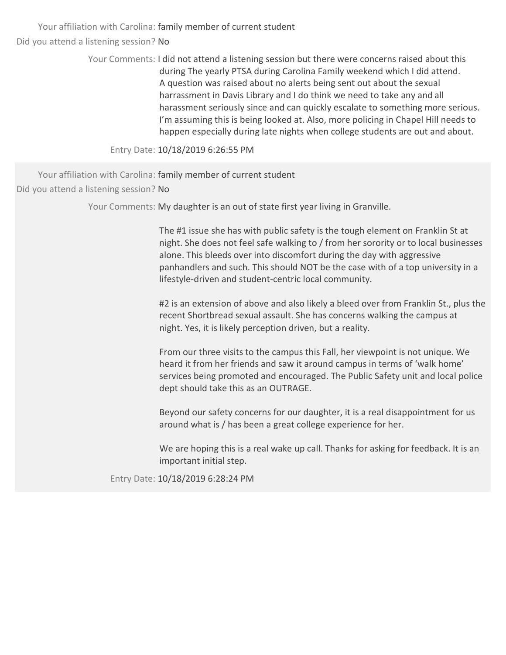> Your Comments: I did not attend a listening session but there were concerns raised about this during The yearly PTSA during Carolina Family weekend which I did attend. A question was raised about no alerts being sent out about the sexual harrassment in Davis Library and I do think we need to take any and all harassment seriously since and can quickly escalate to something more serious. I'm assuming this is being looked at. Also, more policing in Chapel Hill needs to happen especially during late nights when college students are out and about.

Entry Date: 10/18/2019 6:26:55 PM

Your affiliation with Carolina: family member of current student Did you attend a listening session? No

Your Comments: My daughter is an out of state first year living in Granville.

The #1 issue she has with public safety is the tough element on Franklin St at night. She does not feel safe walking to / from her sorority or to local businesses alone. This bleeds over into discomfort during the day with aggressive panhandlers and such. This should NOT be the case with of a top university in a lifestyle‐driven and student‐centric local community.

#2 is an extension of above and also likely a bleed over from Franklin St., plus the recent Shortbread sexual assault. She has concerns walking the campus at night. Yes, it is likely perception driven, but a reality.

From our three visits to the campus this Fall, her viewpoint is not unique. We heard it from her friends and saw it around campus in terms of 'walk home' services being promoted and encouraged. The Public Safety unit and local police dept should take this as an OUTRAGE.

Beyond our safety concerns for our daughter, it is a real disappointment for us around what is / has been a great college experience for her.

We are hoping this is a real wake up call. Thanks for asking for feedback. It is an important initial step.

Entry Date: 10/18/2019 6:28:24 PM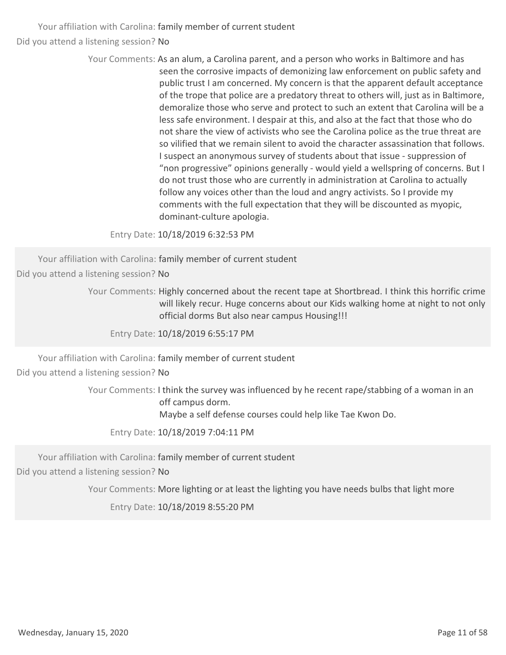> Your Comments: As an alum, a Carolina parent, and a person who works in Baltimore and has seen the corrosive impacts of demonizing law enforcement on public safety and public trust I am concerned. My concern is that the apparent default acceptance of the trope that police are a predatory threat to others will, just as in Baltimore, demoralize those who serve and protect to such an extent that Carolina will be a less safe environment. I despair at this, and also at the fact that those who do not share the view of activists who see the Carolina police as the true threat are so vilified that we remain silent to avoid the character assassination that follows. I suspect an anonymous survey of students about that issue ‐ suppression of "non progressive" opinions generally ‐ would yield a wellspring of concerns. But I do not trust those who are currently in administration at Carolina to actually follow any voices other than the loud and angry activists. So I provide my comments with the full expectation that they will be discounted as myopic, dominant‐culture apologia.

Entry Date: 10/18/2019 6:32:53 PM

Your affiliation with Carolina: family member of current student

Did you attend a listening session? No

Your Comments: Highly concerned about the recent tape at Shortbread. I think this horrific crime will likely recur. Huge concerns about our Kids walking home at night to not only official dorms But also near campus Housing!!!

Entry Date: 10/18/2019 6:55:17 PM

Your affiliation with Carolina: family member of current student

Did you attend a listening session? No

Your Comments: I think the survey was influenced by he recent rape/stabbing of a woman in an off campus dorm. Maybe a self defense courses could help like Tae Kwon Do.

Entry Date: 10/18/2019 7:04:11 PM

Your affiliation with Carolina: family member of current student

Did you attend a listening session? No

Your Comments: More lighting or at least the lighting you have needs bulbs that light more

Entry Date: 10/18/2019 8:55:20 PM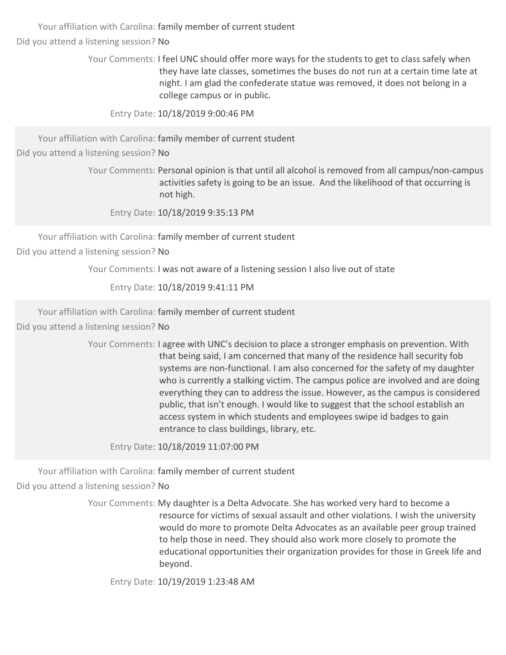> Your Comments: I feel UNC should offer more ways for the students to get to class safely when they have late classes, sometimes the buses do not run at a certain time late at night. I am glad the confederate statue was removed, it does not belong in a college campus or in public.

Entry Date: 10/18/2019 9:00:46 PM

Your affiliation with Carolina: family member of current student

Did you attend a listening session? No

Your Comments: Personal opinion is that until all alcohol is removed from all campus/non‐campus activities safety is going to be an issue. And the likelihood of that occurring is not high.

Entry Date: 10/18/2019 9:35:13 PM

Your affiliation with Carolina: family member of current student

Did you attend a listening session? No

Your Comments: I was not aware of a listening session I also live out of state

Entry Date: 10/18/2019 9:41:11 PM

Your affiliation with Carolina: family member of current student

Did you attend a listening session? No

Your Comments: I agree with UNC's decision to place a stronger emphasis on prevention. With that being said, I am concerned that many of the residence hall security fob systems are non-functional. I am also concerned for the safety of my daughter who is currently a stalking victim. The campus police are involved and are doing everything they can to address the issue. However, as the campus is considered public, that isn't enough. I would like to suggest that the school establish an access system in which students and employees swipe id badges to gain entrance to class buildings, library, etc.

Entry Date: 10/18/2019 11:07:00 PM

Your affiliation with Carolina: family member of current student Did you attend a listening session? No

> Your Comments: My daughter is a Delta Advocate. She has worked very hard to become a resource for victims of sexual assault and other violations. I wish the university would do more to promote Delta Advocates as an available peer group trained to help those in need. They should also work more closely to promote the educational opportunities their organization provides for those in Greek life and beyond.

Entry Date: 10/19/2019 1:23:48 AM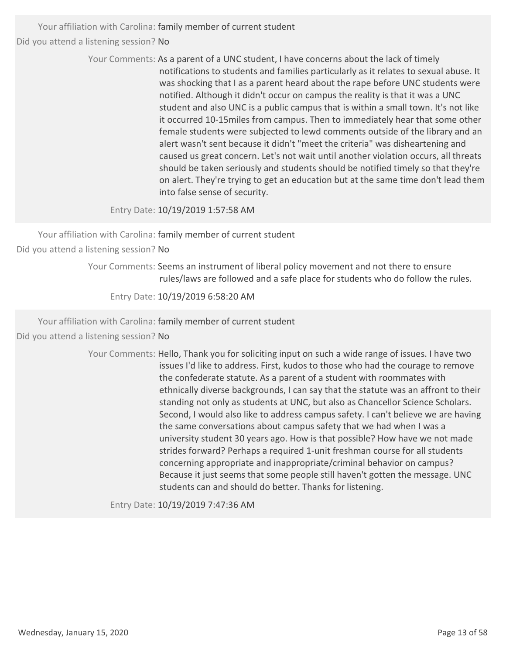> Your Comments: As a parent of a UNC student, I have concerns about the lack of timely notifications to students and families particularly as it relates to sexual abuse. It was shocking that I as a parent heard about the rape before UNC students were notified. Although it didn't occur on campus the reality is that it was a UNC student and also UNC is a public campus that is within a small town. It's not like it occurred 10‐15miles from campus. Then to immediately hear that some other female students were subjected to lewd comments outside of the library and an alert wasn't sent because it didn't "meet the criteria" was disheartening and caused us great concern. Let's not wait until another violation occurs, all threats should be taken seriously and students should be notified timely so that they're on alert. They're trying to get an education but at the same time don't lead them into false sense of security.

Entry Date: 10/19/2019 1:57:58 AM

Your affiliation with Carolina: family member of current student Did you attend a listening session? No

Your Comments: Seems an instrument of liberal policy movement and not there to ensure

rules/laws are followed and a safe place for students who do follow the rules.

Entry Date: 10/19/2019 6:58:20 AM

Your affiliation with Carolina: family member of current student

Did you attend a listening session? No

Your Comments: Hello, Thank you for soliciting input on such a wide range of issues. I have two issues I'd like to address. First, kudos to those who had the courage to remove the confederate statute. As a parent of a student with roommates with ethnically diverse backgrounds, I can say that the statute was an affront to their standing not only as students at UNC, but also as Chancellor Science Scholars. Second, I would also like to address campus safety. I can't believe we are having the same conversations about campus safety that we had when I was a university student 30 years ago. How is that possible? How have we not made strides forward? Perhaps a required 1‐unit freshman course for all students concerning appropriate and inappropriate/criminal behavior on campus? Because it just seems that some people still haven't gotten the message. UNC students can and should do better. Thanks for listening.

Entry Date: 10/19/2019 7:47:36 AM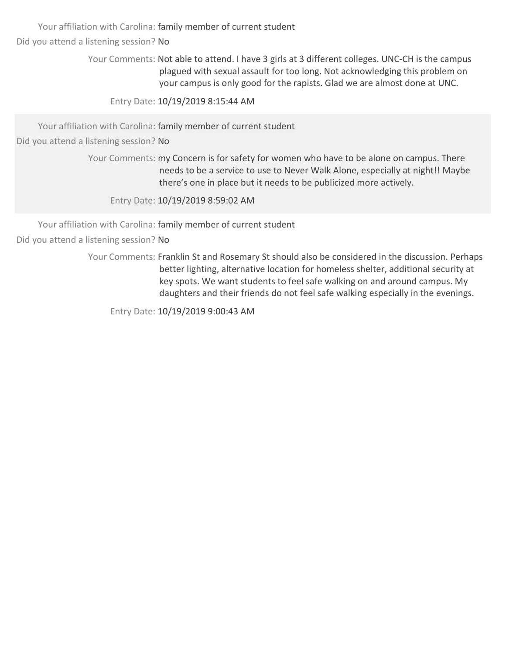Your affiliation with Carolina: family member of current student

Did you attend a listening session? No

Your Comments: Not able to attend. I have 3 girls at 3 different colleges. UNC-CH is the campus plagued with sexual assault for too long. Not acknowledging this problem on your campus is only good for the rapists. Glad we are almost done at UNC.

Entry Date: 10/19/2019 8:15:44 AM

Your affiliation with Carolina: family member of current student

Did you attend a listening session? No

Your Comments: my Concern is for safety for women who have to be alone on campus. There needs to be a service to use to Never Walk Alone, especially at night!! Maybe there's one in place but it needs to be publicized more actively.

Entry Date: 10/19/2019 8:59:02 AM

Your affiliation with Carolina: family member of current student

Did you attend a listening session? No

Your Comments: Franklin St and Rosemary St should also be considered in the discussion. Perhaps better lighting, alternative location for homeless shelter, additional security at key spots. We want students to feel safe walking on and around campus. My daughters and their friends do not feel safe walking especially in the evenings.

Entry Date: 10/19/2019 9:00:43 AM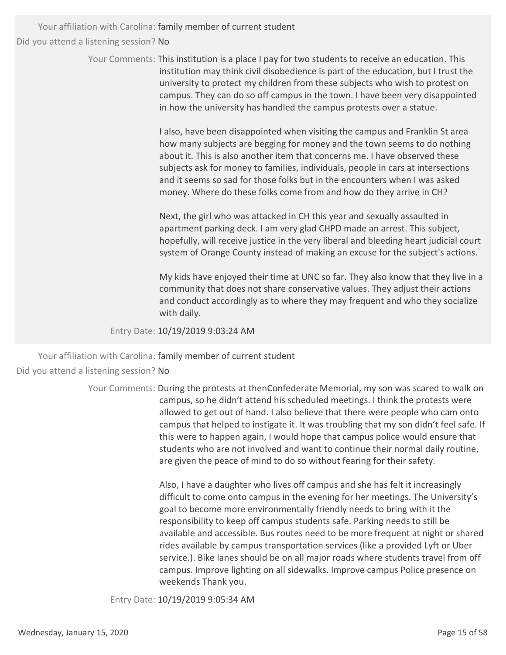> Your Comments: This institution is a place I pay for two students to receive an education. This institution may think civil disobedience is part of the education, but I trust the university to protect my children from these subjects who wish to protest on campus. They can do so off campus in the town. I have been very disappointed in how the university has handled the campus protests over a statue.

> > I also, have been disappointed when visiting the campus and Franklin St area how many subjects are begging for money and the town seems to do nothing about it. This is also another item that concerns me. I have observed these subjects ask for money to families, individuals, people in cars at intersections and it seems so sad for those folks but in the encounters when I was asked money. Where do these folks come from and how do they arrive in CH?

Next, the girl who was attacked in CH this year and sexually assaulted in apartment parking deck. I am very glad CHPD made an arrest. This subject, hopefully, will receive justice in the very liberal and bleeding heart judicial court system of Orange County instead of making an excuse for the subject's actions.

My kids have enjoyed their time at UNC so far. They also know that they live in a community that does not share conservative values. They adjust their actions and conduct accordingly as to where they may frequent and who they socialize with daily.

Entry Date: 10/19/2019 9:03:24 AM

Your affiliation with Carolina: family member of current student Did you attend a listening session? No

> Your Comments: During the protests at thenConfederate Memorial, my son was scared to walk on campus, so he didn't attend his scheduled meetings. I think the protests were allowed to get out of hand. I also believe that there were people who cam onto campus that helped to instigate it. It was troubling that my son didn't feel safe. If this were to happen again, I would hope that campus police would ensure that students who are not involved and want to continue their normal daily routine, are given the peace of mind to do so without fearing for their safety.

> > Also, I have a daughter who lives off campus and she has felt it increasingly difficult to come onto campus in the evening for her meetings. The University's goal to become more environmentally friendly needs to bring with it the responsibility to keep off campus students safe. Parking needs to still be available and accessible. Bus routes need to be more frequent at night or shared rides available by campus transportation services (like a provided Lyft or Uber service.). Bike lanes should be on all major roads where students travel from off campus. Improve lighting on all sidewalks. Improve campus Police presence on weekends Thank you.

Entry Date: 10/19/2019 9:05:34 AM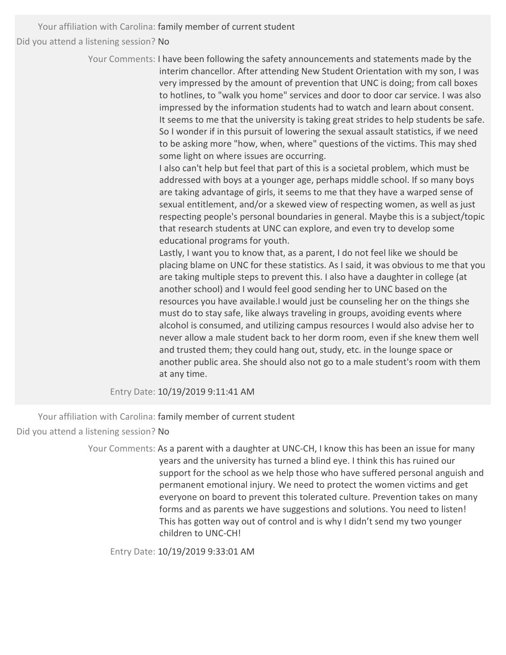> Your Comments: I have been following the safety announcements and statements made by the interim chancellor. After attending New Student Orientation with my son, I was very impressed by the amount of prevention that UNC is doing; from call boxes to hotlines, to "walk you home" services and door to door car service. I was also impressed by the information students had to watch and learn about consent. It seems to me that the university is taking great strides to help students be safe. So I wonder if in this pursuit of lowering the sexual assault statistics, if we need to be asking more "how, when, where" questions of the victims. This may shed some light on where issues are occurring.

> > I also can't help but feel that part of this is a societal problem, which must be addressed with boys at a younger age, perhaps middle school. If so many boys are taking advantage of girls, it seems to me that they have a warped sense of sexual entitlement, and/or a skewed view of respecting women, as well as just respecting people's personal boundaries in general. Maybe this is a subject/topic that research students at UNC can explore, and even try to develop some educational programs for youth.

> > Lastly, I want you to know that, as a parent, I do not feel like we should be placing blame on UNC for these statistics. As I said, it was obvious to me that you are taking multiple steps to prevent this. I also have a daughter in college (at another school) and I would feel good sending her to UNC based on the resources you have available.I would just be counseling her on the things she must do to stay safe, like always traveling in groups, avoiding events where alcohol is consumed, and utilizing campus resources I would also advise her to never allow a male student back to her dorm room, even if she knew them well and trusted them; they could hang out, study, etc. in the lounge space or another public area. She should also not go to a male student's room with them at any time.

Entry Date: 10/19/2019 9:11:41 AM

Your affiliation with Carolina: family member of current student Did you attend a listening session? No

> Your Comments: As a parent with a daughter at UNC-CH, I know this has been an issue for many years and the university has turned a blind eye. I think this has ruined our support for the school as we help those who have suffered personal anguish and permanent emotional injury. We need to protect the women victims and get everyone on board to prevent this tolerated culture. Prevention takes on many forms and as parents we have suggestions and solutions. You need to listen! This has gotten way out of control and is why I didn't send my two younger children to UNC‐CH!

Entry Date: 10/19/2019 9:33:01 AM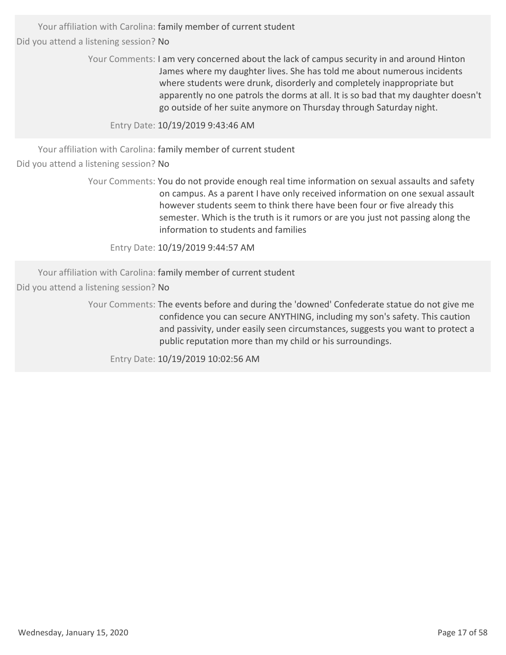> Your Comments: I am very concerned about the lack of campus security in and around Hinton James where my daughter lives. She has told me about numerous incidents where students were drunk, disorderly and completely inappropriate but apparently no one patrols the dorms at all. It is so bad that my daughter doesn't go outside of her suite anymore on Thursday through Saturday night.

Entry Date: 10/19/2019 9:43:46 AM

Your affiliation with Carolina: family member of current student

Did you attend a listening session? No

Your Comments: You do not provide enough real time information on sexual assaults and safety on campus. As a parent I have only received information on one sexual assault however students seem to think there have been four or five already this semester. Which is the truth is it rumors or are you just not passing along the information to students and families

Entry Date: 10/19/2019 9:44:57 AM

Your affiliation with Carolina: family member of current student

Did you attend a listening session? No

Your Comments: The events before and during the 'downed' Confederate statue do not give me confidence you can secure ANYTHING, including my son's safety. This caution and passivity, under easily seen circumstances, suggests you want to protect a public reputation more than my child or his surroundings.

Entry Date: 10/19/2019 10:02:56 AM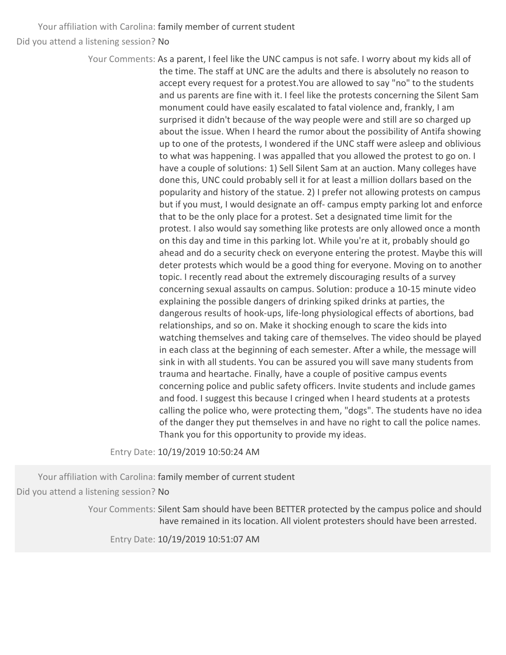> Your Comments: As a parent, I feel like the UNC campus is not safe. I worry about my kids all of the time. The staff at UNC are the adults and there is absolutely no reason to accept every request for a protest.You are allowed to say "no" to the students and us parents are fine with it. I feel like the protests concerning the Silent Sam monument could have easily escalated to fatal violence and, frankly, I am surprised it didn't because of the way people were and still are so charged up about the issue. When I heard the rumor about the possibility of Antifa showing up to one of the protests, I wondered if the UNC staff were asleep and oblivious to what was happening. I was appalled that you allowed the protest to go on. I have a couple of solutions: 1) Sell Silent Sam at an auction. Many colleges have done this, UNC could probably sell it for at least a million dollars based on the popularity and history of the statue. 2) I prefer not allowing protests on campus but if you must, I would designate an off- campus empty parking lot and enforce that to be the only place for a protest. Set a designated time limit for the protest. I also would say something like protests are only allowed once a month on this day and time in this parking lot. While you're at it, probably should go ahead and do a security check on everyone entering the protest. Maybe this will deter protests which would be a good thing for everyone. Moving on to another topic. I recently read about the extremely discouraging results of a survey concerning sexual assaults on campus. Solution: produce a 10‐15 minute video explaining the possible dangers of drinking spiked drinks at parties, the dangerous results of hook‐ups, life‐long physiological effects of abortions, bad relationships, and so on. Make it shocking enough to scare the kids into watching themselves and taking care of themselves. The video should be played in each class at the beginning of each semester. After a while, the message will sink in with all students. You can be assured you will save many students from trauma and heartache. Finally, have a couple of positive campus events concerning police and public safety officers. Invite students and include games and food. I suggest this because I cringed when I heard students at a protests calling the police who, were protecting them, "dogs". The students have no idea of the danger they put themselves in and have no right to call the police names. Thank you for this opportunity to provide my ideas.

Entry Date: 10/19/2019 10:50:24 AM

Your affiliation with Carolina: family member of current student Did you attend a listening session? No

> Your Comments: Silent Sam should have been BETTER protected by the campus police and should have remained in its location. All violent protesters should have been arrested.

Entry Date: 10/19/2019 10:51:07 AM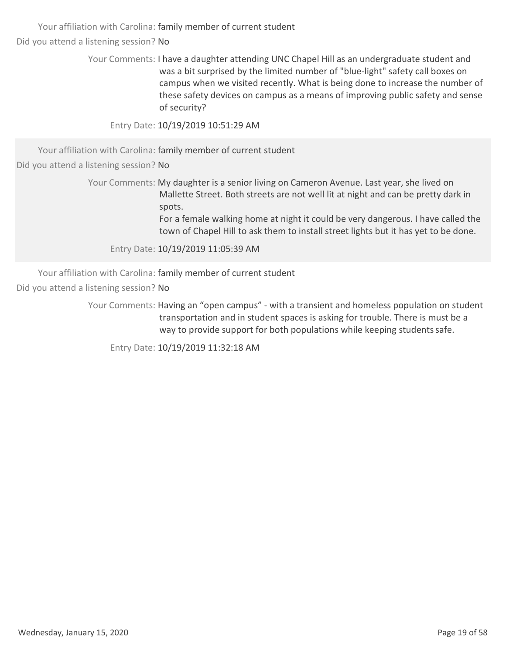> Your Comments: I have a daughter attending UNC Chapel Hill as an undergraduate student and was a bit surprised by the limited number of "blue-light" safety call boxes on campus when we visited recently. What is being done to increase the number of these safety devices on campus as a means of improving public safety and sense of security?

Entry Date: 10/19/2019 10:51:29 AM

Your affiliation with Carolina: family member of current student

Did you attend a listening session? No

Your Comments: My daughter is a senior living on Cameron Avenue. Last year, she lived on Mallette Street. Both streets are not well lit at night and can be pretty dark in spots.

> For a female walking home at night it could be very dangerous. I have called the town of Chapel Hill to ask them to install street lights but it has yet to be done.

Entry Date: 10/19/2019 11:05:39 AM

Your affiliation with Carolina: family member of current student Did you attend a listening session? No

> Your Comments: Having an "open campus" - with a transient and homeless population on student transportation and in student spaces is asking for trouble. There is must be a way to provide support for both populations while keeping students safe.

Entry Date: 10/19/2019 11:32:18 AM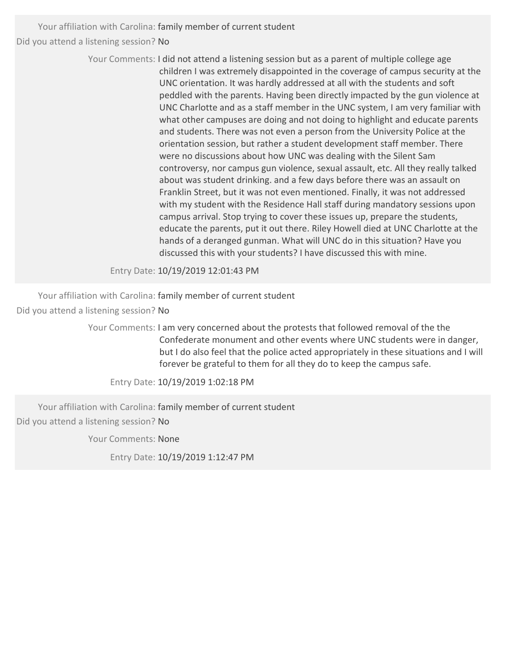> Your Comments: I did not attend a listening session but as a parent of multiple college age children I was extremely disappointed in the coverage of campus security at the UNC orientation. It was hardly addressed at all with the students and soft peddled with the parents. Having been directly impacted by the gun violence at UNC Charlotte and as a staff member in the UNC system, I am very familiar with what other campuses are doing and not doing to highlight and educate parents and students. There was not even a person from the University Police at the orientation session, but rather a student development staff member. There were no discussions about how UNC was dealing with the Silent Sam controversy, nor campus gun violence, sexual assault, etc. All they really talked about was student drinking. and a few days before there was an assault on Franklin Street, but it was not even mentioned. Finally, it was not addressed with my student with the Residence Hall staff during mandatory sessions upon campus arrival. Stop trying to cover these issues up, prepare the students, educate the parents, put it out there. Riley Howell died at UNC Charlotte at the hands of a deranged gunman. What will UNC do in this situation? Have you discussed this with your students? I have discussed this with mine.

Entry Date: 10/19/2019 12:01:43 PM

Your affiliation with Carolina: family member of current student

Did you attend a listening session? No

Your Comments: I am very concerned about the protests that followed removal of the the Confederate monument and other events where UNC students were in danger, but I do also feel that the police acted appropriately in these situations and I will forever be grateful to them for all they do to keep the campus safe.

Entry Date: 10/19/2019 1:02:18 PM

Your affiliation with Carolina: family member of current student

Did you attend a listening session? No

Your Comments: None

Entry Date: 10/19/2019 1:12:47 PM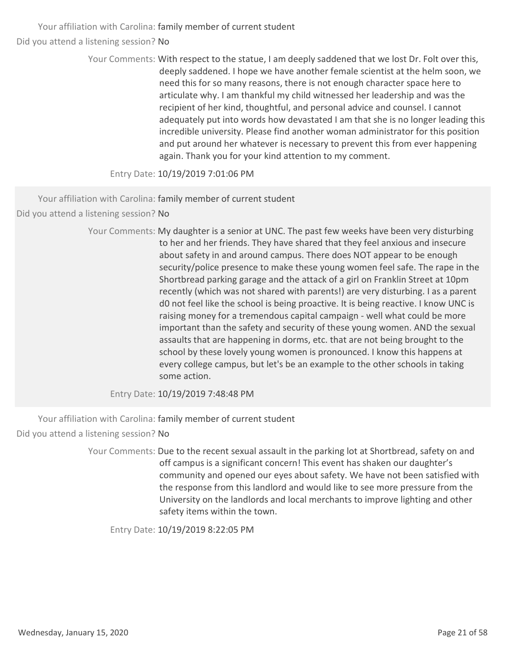> Your Comments: With respect to the statue, I am deeply saddened that we lost Dr. Folt over this, deeply saddened. I hope we have another female scientist at the helm soon, we need this for so many reasons, there is not enough character space here to articulate why. I am thankful my child witnessed her leadership and was the recipient of her kind, thoughtful, and personal advice and counsel. I cannot adequately put into words how devastated I am that she is no longer leading this incredible university. Please find another woman administrator for this position and put around her whatever is necessary to prevent this from ever happening again. Thank you for your kind attention to my comment.

Entry Date: 10/19/2019 7:01:06 PM

Your affiliation with Carolina: family member of current student

Did you attend a listening session? No

Your Comments: My daughter is a senior at UNC. The past few weeks have been very disturbing to her and her friends. They have shared that they feel anxious and insecure about safety in and around campus. There does NOT appear to be enough security/police presence to make these young women feel safe. The rape in the Shortbread parking garage and the attack of a girl on Franklin Street at 10pm recently (which was not shared with parents!) are very disturbing. I as a parent d0 not feel like the school is being proactive. It is being reactive. I know UNC is raising money for a tremendous capital campaign ‐ well what could be more important than the safety and security of these young women. AND the sexual assaults that are happening in dorms, etc. that are not being brought to the school by these lovely young women is pronounced. I know this happens at every college campus, but let's be an example to the other schools in taking some action.

Entry Date: 10/19/2019 7:48:48 PM

Your affiliation with Carolina: family member of current student Did you attend a listening session? No

> Your Comments: Due to the recent sexual assault in the parking lot at Shortbread, safety on and off campus is a significant concern! This event has shaken our daughter's community and opened our eyes about safety. We have not been satisfied with the response from this landlord and would like to see more pressure from the University on the landlords and local merchants to improve lighting and other safety items within the town.

Entry Date: 10/19/2019 8:22:05 PM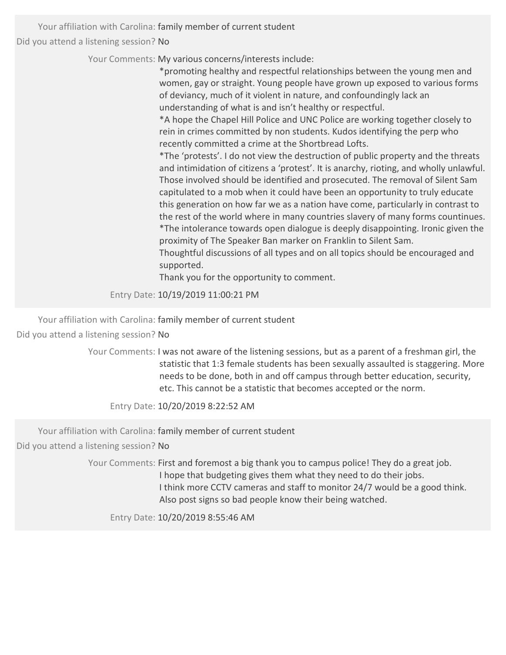Your Comments: My various concerns/interests include:

\*promoting healthy and respectful relationships between the young men and women, gay or straight. Young people have grown up exposed to various forms of deviancy, much of it violent in nature, and confoundingly lack an understanding of what is and isn't healthy or respectful.

\*A hope the Chapel Hill Police and UNC Police are working together closely to rein in crimes committed by non students. Kudos identifying the perp who recently committed a crime at the Shortbread Lofts.

\*The 'protests'. I do not view the destruction of public property and the threats and intimidation of citizens a 'protest'. It is anarchy, rioting, and wholly unlawful. Those involved should be identified and prosecuted. The removal of Silent Sam capitulated to a mob when it could have been an opportunity to truly educate this generation on how far we as a nation have come, particularly in contrast to the rest of the world where in many countries slavery of many forms countinues. \*The intolerance towards open dialogue is deeply disappointing. Ironic given the proximity of The Speaker Ban marker on Franklin to Silent Sam.

Thoughtful discussions of all types and on all topics should be encouraged and supported.

Thank you for the opportunity to comment.

Entry Date: 10/19/2019 11:00:21 PM

Your affiliation with Carolina: family member of current student Did you attend a listening session? No

> Your Comments: I was not aware of the listening sessions, but as a parent of a freshman girl, the statistic that 1:3 female students has been sexually assaulted is staggering. More needs to be done, both in and off campus through better education, security, etc. This cannot be a statistic that becomes accepted or the norm.

Entry Date: 10/20/2019 8:22:52 AM

Your affiliation with Carolina: family member of current student

Did you attend a listening session? No

Your Comments: First and foremost a big thank you to campus police! They do a great job. I hope that budgeting gives them what they need to do their jobs. I think more CCTV cameras and staff to monitor 24/7 would be a good think. Also post signs so bad people know their being watched.

Entry Date: 10/20/2019 8:55:46 AM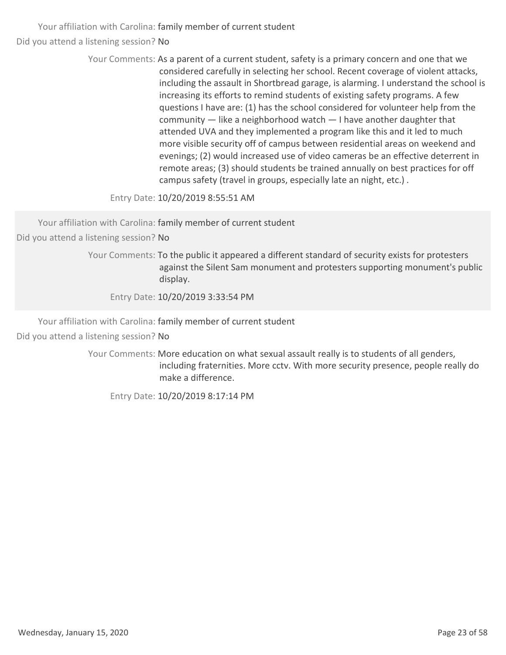> Your Comments: As a parent of a current student, safety is a primary concern and one that we considered carefully in selecting her school. Recent coverage of violent attacks, including the assault in Shortbread garage, is alarming. I understand the school is increasing its efforts to remind students of existing safety programs. A few questions I have are: (1) has the school considered for volunteer help from the community — like a neighborhood watch — I have another daughter that attended UVA and they implemented a program like this and it led to much more visible security off of campus between residential areas on weekend and evenings; (2) would increased use of video cameras be an effective deterrent in remote areas; (3) should students be trained annually on best practices for off campus safety (travel in groups, especially late an night, etc.) .

Entry Date: 10/20/2019 8:55:51 AM

Your affiliation with Carolina: family member of current student

Did you attend a listening session? No

Your Comments: To the public it appeared a different standard of security exists for protesters against the Silent Sam monument and protesters supporting monument's public display.

Entry Date: 10/20/2019 3:33:54 PM

Your affiliation with Carolina: family member of current student Did you attend a listening session? No

> Your Comments: More education on what sexual assault really is to students of all genders, including fraternities. More cctv. With more security presence, people really do make a difference.

Entry Date: 10/20/2019 8:17:14 PM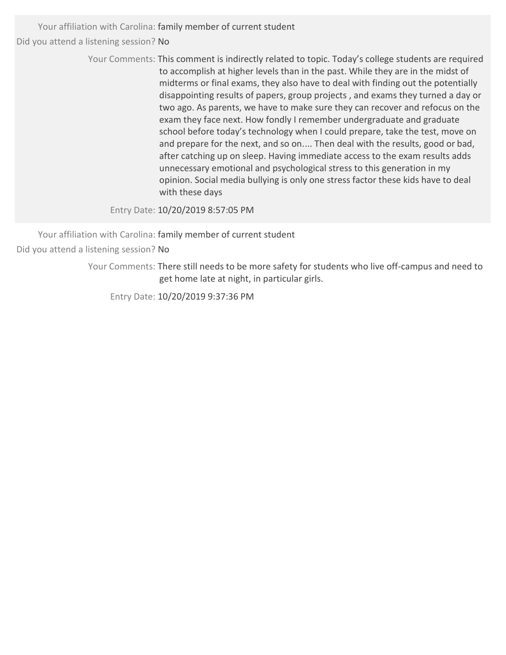> Your Comments: This comment is indirectly related to topic. Today's college students are required to accomplish at higher levels than in the past. While they are in the midst of midterms or final exams, they also have to deal with finding out the potentially disappointing results of papers, group projects , and exams they turned a day or two ago. As parents, we have to make sure they can recover and refocus on the exam they face next. How fondly I remember undergraduate and graduate school before today's technology when I could prepare, take the test, move on and prepare for the next, and so on.... Then deal with the results, good or bad, after catching up on sleep. Having immediate access to the exam results adds unnecessary emotional and psychological stress to this generation in my opinion. Social media bullying is only one stress factor these kids have to deal with these days

Entry Date: 10/20/2019 8:57:05 PM

Your affiliation with Carolina: family member of current student Did you attend a listening session? No

> Your Comments: There still needs to be more safety for students who live off-campus and need to get home late at night, in particular girls.

Entry Date: 10/20/2019 9:37:36 PM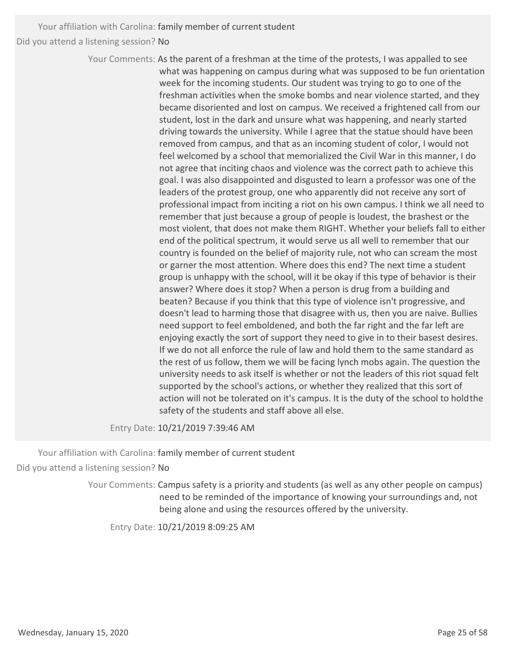> Your Comments: As the parent of a freshman at the time of the protests, I was appalled to see what was happening on campus during what was supposed to be fun orientation week for the incoming students. Our student was trying to go to one of the freshman activities when the smoke bombs and near violence started, and they became disoriented and lost on campus. We received a frightened call from our student, lost in the dark and unsure what was happening, and nearly started driving towards the university. While I agree that the statue should have been removed from campus, and that as an incoming student of color, I would not feel welcomed by a school that memorialized the Civil War in this manner, I do not agree that inciting chaos and violence was the correct path to achieve this goal. I was also disappointed and disgusted to learn a professor was one of the leaders of the protest group, one who apparently did not receive any sort of professional impact from inciting a riot on his own campus. I think we all need to remember that just because a group of people is loudest, the brashest or the most violent, that does not make them RIGHT. Whether your beliefs fall to either end of the political spectrum, it would serve us all well to remember that our country is founded on the belief of majority rule, not who can scream the most or garner the most attention. Where does this end? The next time a student group is unhappy with the school, will it be okay if this type of behavior is their answer? Where does it stop? When a person is drug from a building and beaten? Because if you think that this type of violence isn't progressive, and doesn't lead to harming those that disagree with us, then you are naive. Bullies need support to feel emboldened, and both the far right and the far left are enjoying exactly the sort of support they need to give in to their basest desires. If we do not all enforce the rule of law and hold them to the same standard as the rest of us follow, them we will be facing lynch mobs again. The question the university needs to ask itself is whether or not the leaders of this riot squad felt supported by the school's actions, or whether they realized that this sort of action will not be tolerated on it's campus. It is the duty of the school to holdthe safety of the students and staff above all else.

Entry Date: 10/21/2019 7:39:46 AM

Your affiliation with Carolina: family member of current student Did you attend a listening session? No

> Your Comments: Campus safety is a priority and students (as well as any other people on campus) need to be reminded of the importance of knowing your surroundings and, not being alone and using the resources offered by the university.

Entry Date: 10/21/2019 8:09:25 AM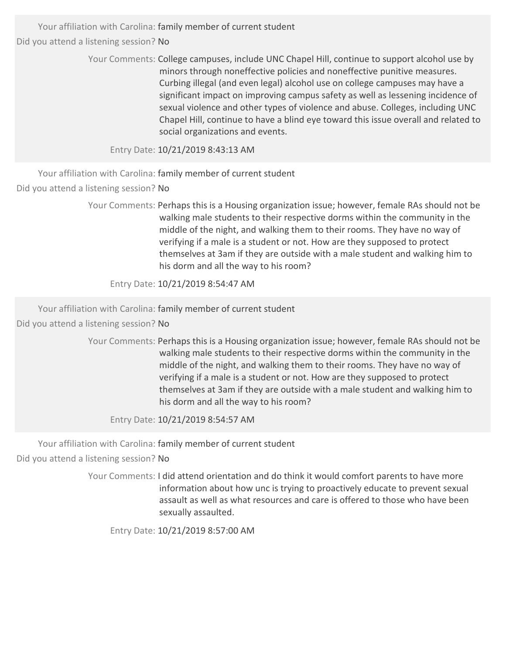> Your Comments: College campuses, include UNC Chapel Hill, continue to support alcohol use by minors through noneffective policies and noneffective punitive measures. Curbing illegal (and even legal) alcohol use on college campuses may have a significant impact on improving campus safety as well as lessening incidence of sexual violence and other types of violence and abuse. Colleges, including UNC Chapel Hill, continue to have a blind eye toward this issue overall and related to social organizations and events.

Entry Date: 10/21/2019 8:43:13 AM

Your affiliation with Carolina: family member of current student Did you attend a listening session? No

> Your Comments: Perhaps this is a Housing organization issue; however, female RAs should not be walking male students to their respective dorms within the community in the middle of the night, and walking them to their rooms. They have no way of verifying if a male is a student or not. How are they supposed to protect themselves at 3am if they are outside with a male student and walking him to his dorm and all the way to his room?

Entry Date: 10/21/2019 8:54:47 AM

Your affiliation with Carolina: family member of current student

Did you attend a listening session? No

Your Comments: Perhaps this is a Housing organization issue; however, female RAs should not be walking male students to their respective dorms within the community in the middle of the night, and walking them to their rooms. They have no way of verifying if a male is a student or not. How are they supposed to protect themselves at 3am if they are outside with a male student and walking him to his dorm and all the way to his room?

Entry Date: 10/21/2019 8:54:57 AM

Your affiliation with Carolina: family member of current student

Did you attend a listening session? No

Your Comments: I did attend orientation and do think it would comfort parents to have more information about how unc is trying to proactively educate to prevent sexual assault as well as what resources and care is offered to those who have been sexually assaulted.

Entry Date: 10/21/2019 8:57:00 AM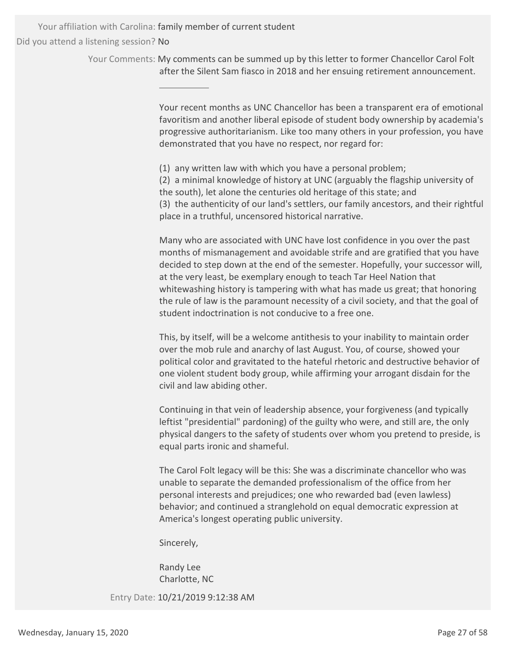> Your Comments: My comments can be summed up by this letter to former Chancellor Carol Folt after the Silent Sam fiasco in 2018 and her ensuing retirement announcement.

> > Your recent months as UNC Chancellor has been a transparent era of emotional favoritism and another liberal episode of student body ownership by academia's progressive authoritarianism. Like too many others in your profession, you have demonstrated that you have no respect, nor regard for:

(1) any written law with which you have a personal problem;

(2) a minimal knowledge of history at UNC (arguably the flagship university of the south), let alone the centuries old heritage of this state; and (3) the authenticity of our land's settlers, our family ancestors, and their rightful place in a truthful, uncensored historical narrative.

Many who are associated with UNC have lost confidence in you over the past months of mismanagement and avoidable strife and are gratified that you have decided to step down at the end of the semester. Hopefully, your successor will, at the very least, be exemplary enough to teach Tar Heel Nation that whitewashing history is tampering with what has made us great; that honoring the rule of law is the paramount necessity of a civil society, and that the goal of student indoctrination is not conducive to a free one.

This, by itself, will be a welcome antithesis to your inability to maintain order over the mob rule and anarchy of last August. You, of course, showed your political color and gravitated to the hateful rhetoric and destructive behavior of one violent student body group, while affirming your arrogant disdain for the civil and law abiding other.

Continuing in that vein of leadership absence, your forgiveness (and typically leftist "presidential" pardoning) of the guilty who were, and still are, the only physical dangers to the safety of students over whom you pretend to preside, is equal parts ironic and shameful.

The Carol Folt legacy will be this: She was a discriminate chancellor who was unable to separate the demanded professionalism of the office from her personal interests and prejudices; one who rewarded bad (even lawless) behavior; and continued a stranglehold on equal democratic expression at America's longest operating public university.

Sincerely,

Randy Lee Charlotte, NC

Entry Date: 10/21/2019 9:12:38 AM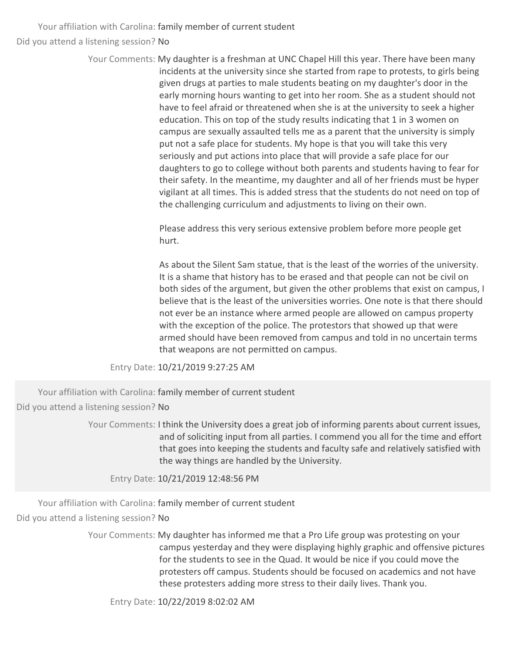> Your Comments: My daughter is a freshman at UNC Chapel Hill this year. There have been many incidents at the university since she started from rape to protests, to girls being given drugs at parties to male students beating on my daughter's door in the early morning hours wanting to get into her room. She as a student should not have to feel afraid or threatened when she is at the university to seek a higher education. This on top of the study results indicating that 1 in 3 women on campus are sexually assaulted tells me as a parent that the university is simply put not a safe place for students. My hope is that you will take this very seriously and put actions into place that will provide a safe place for our daughters to go to college without both parents and students having to fear for their safety. In the meantime, my daughter and all of her friends must be hyper vigilant at all times. This is added stress that the students do not need on top of the challenging curriculum and adjustments to living on their own.

> > Please address this very serious extensive problem before more people get hurt.

As about the Silent Sam statue, that is the least of the worries of the university. It is a shame that history has to be erased and that people can not be civil on both sides of the argument, but given the other problems that exist on campus, I believe that is the least of the universities worries. One note is that there should not ever be an instance where armed people are allowed on campus property with the exception of the police. The protestors that showed up that were armed should have been removed from campus and told in no uncertain terms that weapons are not permitted on campus.

Entry Date: 10/21/2019 9:27:25 AM

Your affiliation with Carolina: family member of current student Did you attend a listening session? No

> Your Comments: I think the University does a great job of informing parents about current issues, and of soliciting input from all parties. I commend you all for the time and effort that goes into keeping the students and faculty safe and relatively satisfied with the way things are handled by the University.

Entry Date: 10/21/2019 12:48:56 PM

Your affiliation with Carolina: family member of current student

Did you attend a listening session? No

Your Comments: My daughter has informed me that a Pro Life group was protesting on your campus yesterday and they were displaying highly graphic and offensive pictures for the students to see in the Quad. It would be nice if you could move the protesters off campus. Students should be focused on academics and not have these protesters adding more stress to their daily lives. Thank you.

Entry Date: 10/22/2019 8:02:02 AM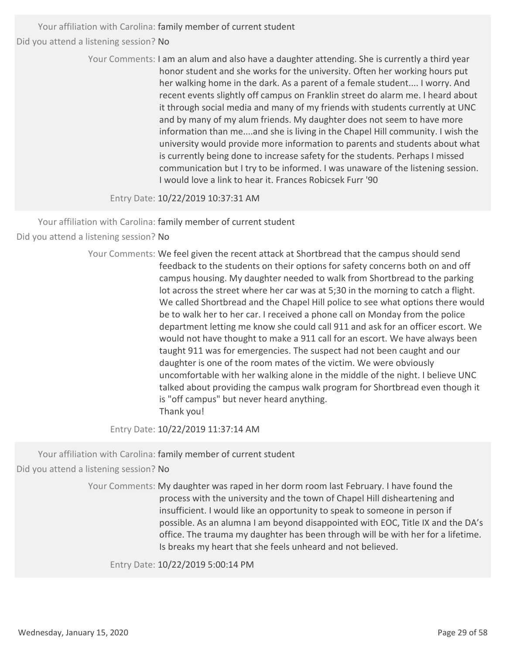> Your Comments: I am an alum and also have a daughter attending. She is currently a third year honor student and she works for the university. Often her working hours put her walking home in the dark. As a parent of a female student.... I worry. And recent events slightly off campus on Franklin street do alarm me. I heard about it through social media and many of my friends with students currently at UNC and by many of my alum friends. My daughter does not seem to have more information than me....and she is living in the Chapel Hill community. I wish the university would provide more information to parents and students about what is currently being done to increase safety for the students. Perhaps I missed communication but I try to be informed. I was unaware of the listening session. I would love a link to hear it. Frances Robicsek Furr '90

Entry Date: 10/22/2019 10:37:31 AM

Your affiliation with Carolina: family member of current student

Did you attend a listening session? No

Your Comments: We feel given the recent attack at Shortbread that the campus should send feedback to the students on their options for safety concerns both on and off campus housing. My daughter needed to walk from Shortbread to the parking lot across the street where her car was at 5;30 in the morning to catch a flight. We called Shortbread and the Chapel Hill police to see what options there would be to walk her to her car. I received a phone call on Monday from the police department letting me know she could call 911 and ask for an officer escort. We would not have thought to make a 911 call for an escort. We have always been taught 911 was for emergencies. The suspect had not been caught and our daughter is one of the room mates of the victim. We were obviously uncomfortable with her walking alone in the middle of the night. I believe UNC talked about providing the campus walk program for Shortbread even though it is "off campus" but never heard anything. Thank you!

Entry Date: 10/22/2019 11:37:14 AM

Your affiliation with Carolina: family member of current student

Did you attend a listening session? No

Your Comments: My daughter was raped in her dorm room last February. I have found the process with the university and the town of Chapel Hill disheartening and insufficient. I would like an opportunity to speak to someone in person if possible. As an alumna I am beyond disappointed with EOC, Title IX and the DA's office. The trauma my daughter has been through will be with her for a lifetime. Is breaks my heart that she feels unheard and not believed.

Entry Date: 10/22/2019 5:00:14 PM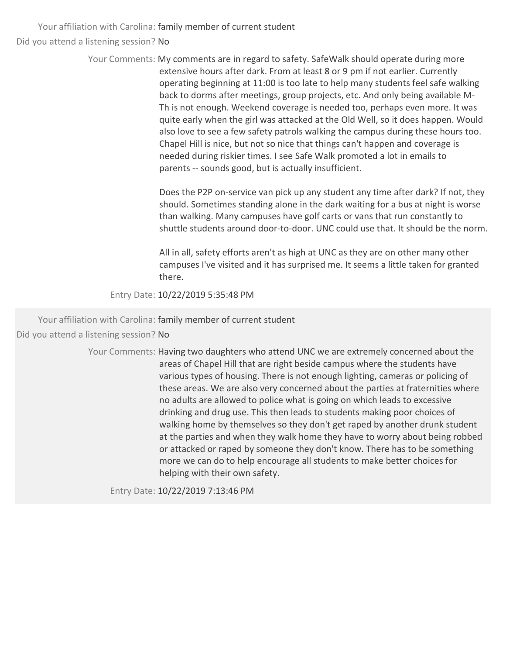> Your Comments: My comments are in regard to safety. SafeWalk should operate during more extensive hours after dark. From at least 8 or 9 pm if not earlier. Currently operating beginning at 11:00 is too late to help many students feel safe walking back to dorms after meetings, group projects, etc. And only being available M‐ Th is not enough. Weekend coverage is needed too, perhaps even more. It was quite early when the girl was attacked at the Old Well, so it does happen. Would also love to see a few safety patrols walking the campus during these hours too. Chapel Hill is nice, but not so nice that things can't happen and coverage is needed during riskier times. I see Safe Walk promoted a lot in emails to parents -- sounds good, but is actually insufficient.

> > Does the P2P on‐service van pick up any student any time after dark? If not, they should. Sometimes standing alone in the dark waiting for a bus at night is worse than walking. Many campuses have golf carts or vans that run constantly to shuttle students around door-to-door. UNC could use that. It should be the norm.

All in all, safety efforts aren't as high at UNC as they are on other many other campuses I've visited and it has surprised me. It seems a little taken for granted there.

Entry Date: 10/22/2019 5:35:48 PM

Your affiliation with Carolina: family member of current student Did you attend a listening session? No

> Your Comments: Having two daughters who attend UNC we are extremely concerned about the areas of Chapel Hill that are right beside campus where the students have various types of housing. There is not enough lighting, cameras or policing of these areas. We are also very concerned about the parties at fraternities where no adults are allowed to police what is going on which leads to excessive drinking and drug use. This then leads to students making poor choices of walking home by themselves so they don't get raped by another drunk student at the parties and when they walk home they have to worry about being robbed or attacked or raped by someone they don't know. There has to be something more we can do to help encourage all students to make better choices for helping with their own safety.

Entry Date: 10/22/2019 7:13:46 PM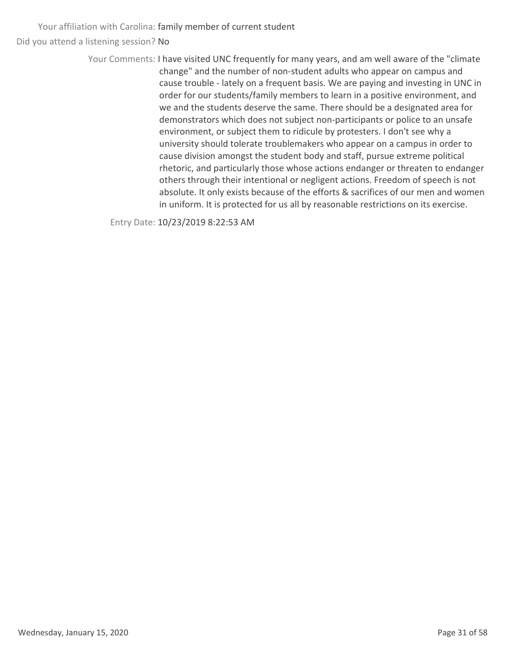> Your Comments: I have visited UNC frequently for many years, and am well aware of the "climate change" and the number of non‐student adults who appear on campus and cause trouble ‐ lately on a frequent basis. We are paying and investing in UNC in order for our students/family members to learn in a positive environment, and we and the students deserve the same. There should be a designated area for demonstrators which does not subject non‐participants or police to an unsafe environment, or subject them to ridicule by protesters. I don't see why a university should tolerate troublemakers who appear on a campus in order to cause division amongst the student body and staff, pursue extreme political rhetoric, and particularly those whose actions endanger or threaten to endanger others through their intentional or negligent actions. Freedom of speech is not absolute. It only exists because of the efforts & sacrifices of our men and women in uniform. It is protected for us all by reasonable restrictions on its exercise.

Entry Date: 10/23/2019 8:22:53 AM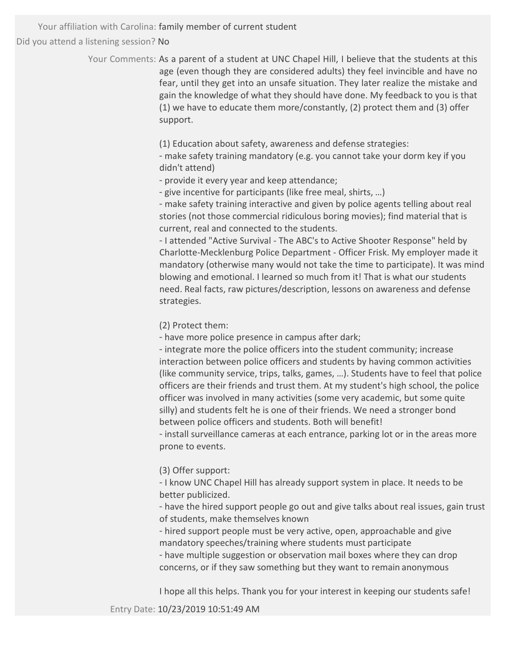> Your Comments: As a parent of a student at UNC Chapel Hill, I believe that the students at this age (even though they are considered adults) they feel invincible and have no fear, until they get into an unsafe situation. They later realize the mistake and gain the knowledge of what they should have done. My feedback to you is that (1) we have to educate them more/constantly, (2) protect them and (3) offer support.

> > (1) Education about safety, awareness and defense strategies:

<sup>−</sup> make safety training mandatory (e.g. you cannot take your dorm key if you didn't attend)

<sup>−</sup> provide it every year and keep attendance;

<sup>−</sup> give incentive for participants (like free meal, shirts, …)

<sup>−</sup> make safety training interactive and given by police agents telling about real stories (not those commercial ridiculous boring movies); find material that is current, real and connected to the students.

<sup>−</sup> I attended "Active Survival ‐ The ABC's to Active Shooter Response" held by Charlotte‐Mecklenburg Police Department ‐ Officer Frisk. My employer made it mandatory (otherwise many would not take the time to participate). It was mind blowing and emotional. I learned so much from it! That is what our students need. Real facts, raw pictures/description, lessons on awareness and defense strategies.

(2) Protect them:

<sup>−</sup> have more police presence in campus after dark;

<sup>−</sup> integrate more the police officers into the student community; increase interaction between police officers and students by having common activities (like community service, trips, talks, games, …). Students have to feel that police officers are their friends and trust them. At my student's high school, the police officer was involved in many activities (some very academic, but some quite silly) and students felt he is one of their friends. We need a stronger bond between police officers and students. Both will benefit!

<sup>−</sup> install surveillance cameras at each entrance, parking lot or in the areas more prone to events.

(3) Offer support:

<sup>−</sup> I know UNC Chapel Hill has already support system in place. It needs to be better publicized.

<sup>−</sup> have the hired support people go out and give talks about real issues, gain trust of students, make themselves known

<sup>−</sup> hired support people must be very active, open, approachable and give mandatory speeches/training where students must participate

<sup>−</sup> have multiple suggestion or observation mail boxes where they can drop concerns, or if they saw something but they want to remain anonymous

I hope all this helps. Thank you for your interest in keeping our students safe!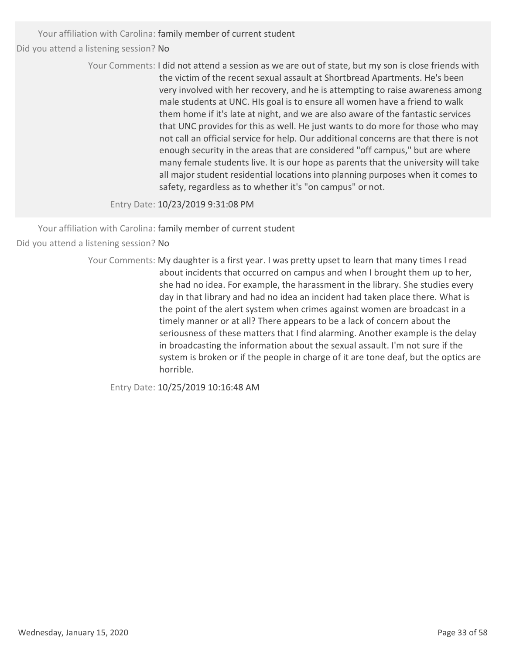Your affiliation with Carolina: family member of current student

Did you attend a listening session? No

Your Comments: I did not attend a session as we are out of state, but my son is close friends with the victim of the recent sexual assault at Shortbread Apartments. He's been very involved with her recovery, and he is attempting to raise awareness among male students at UNC. HIs goal is to ensure all women have a friend to walk them home if it's late at night, and we are also aware of the fantastic services that UNC provides for this as well. He just wants to do more for those who may not call an official service for help. Our additional concerns are that there is not enough security in the areas that are considered "off campus," but are where many female students live. It is our hope as parents that the university will take all major student residential locations into planning purposes when it comes to safety, regardless as to whether it's "on campus" or not.

Entry Date: 10/23/2019 9:31:08 PM

Your affiliation with Carolina: family member of current student

Did you attend a listening session? No

Your Comments: My daughter is a first year. I was pretty upset to learn that many times I read about incidents that occurred on campus and when I brought them up to her, she had no idea. For example, the harassment in the library. She studies every day in that library and had no idea an incident had taken place there. What is the point of the alert system when crimes against women are broadcast in a timely manner or at all? There appears to be a lack of concern about the seriousness of these matters that I find alarming. Another example is the delay in broadcasting the information about the sexual assault. I'm not sure if the system is broken or if the people in charge of it are tone deaf, but the optics are horrible.

Entry Date: 10/25/2019 10:16:48 AM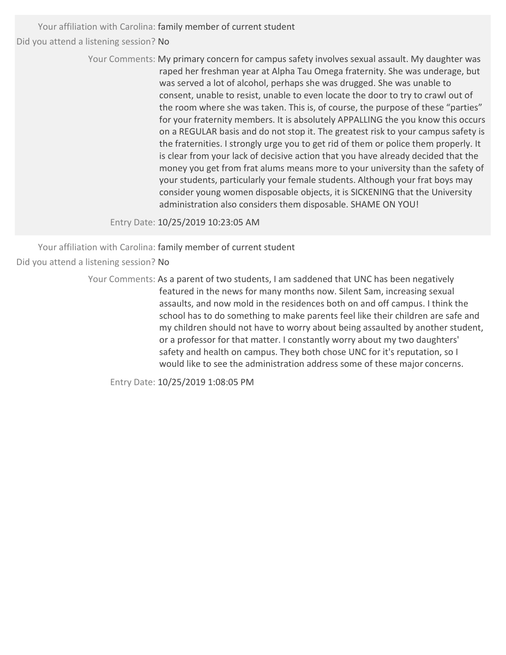> Your Comments: My primary concern for campus safety involves sexual assault. My daughter was raped her freshman year at Alpha Tau Omega fraternity. She was underage, but was served a lot of alcohol, perhaps she was drugged. She was unable to consent, unable to resist, unable to even locate the door to try to crawl out of the room where she was taken. This is, of course, the purpose of these "parties" for your fraternity members. It is absolutely APPALLING the you know this occurs on a REGULAR basis and do not stop it. The greatest risk to your campus safety is the fraternities. I strongly urge you to get rid of them or police them properly. It is clear from your lack of decisive action that you have already decided that the money you get from frat alums means more to your university than the safety of your students, particularly your female students. Although your frat boys may consider young women disposable objects, it is SICKENING that the University administration also considers them disposable. SHAME ON YOU!

Entry Date: 10/25/2019 10:23:05 AM

Your affiliation with Carolina: family member of current student Did you attend a listening session? No

> Your Comments: As a parent of two students, I am saddened that UNC has been negatively featured in the news for many months now. Silent Sam, increasing sexual assaults, and now mold in the residences both on and off campus. I think the school has to do something to make parents feel like their children are safe and my children should not have to worry about being assaulted by another student, or a professor for that matter. I constantly worry about my two daughters' safety and health on campus. They both chose UNC for it's reputation, so I would like to see the administration address some of these major concerns.

Entry Date: 10/25/2019 1:08:05 PM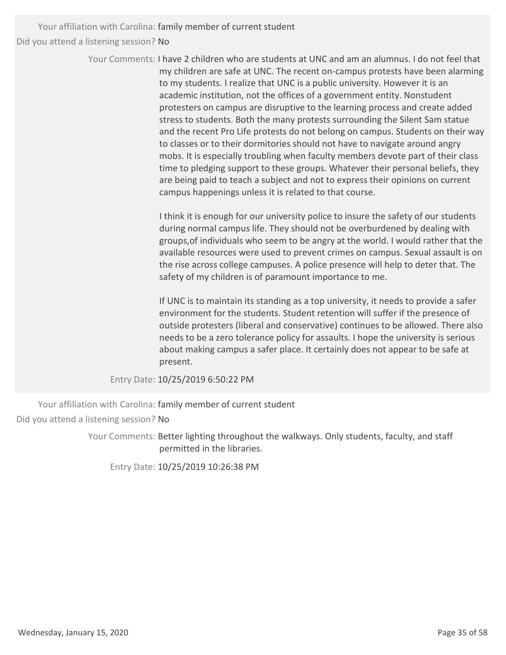> Your Comments: I have 2 children who are students at UNC and am an alumnus. I do not feel that my children are safe at UNC. The recent on‐campus protests have been alarming to my students. I realize that UNC is a public university. However it is an academic institution, not the offices of a government entity. Nonstudent protesters on campus are disruptive to the learning process and create added stress to students. Both the many protests surrounding the Silent Sam statue and the recent Pro Life protests do not belong on campus. Students on their way to classes or to their dormitories should not have to navigate around angry mobs. It is especially troubling when faculty members devote part of their class time to pledging support to these groups. Whatever their personal beliefs, they are being paid to teach a subject and not to express their opinions on current campus happenings unless it is related to that course.

> > I think it is enough for our university police to insure the safety of our students during normal campus life. They should not be overburdened by dealing with groups,of individuals who seem to be angry at the world. I would rather that the available resources were used to prevent crimes on campus. Sexual assault is on the rise across college campuses. A police presence will help to deter that. The safety of my children is of paramount importance to me.

> > If UNC is to maintain its standing as a top university, it needs to provide a safer environment for the students. Student retention will suffer if the presence of outside protesters (liberal and conservative) continues to be allowed. There also needs to be a zero tolerance policy for assaults. I hope the university is serious about making campus a safer place. It certainly does not appear to be safe at present.

Entry Date: 10/25/2019 6:50:22 PM

Your affiliation with Carolina: family member of current student Did you attend a listening session? No

> Your Comments: Better lighting throughout the walkways. Only students, faculty, and staff permitted in the libraries.

Entry Date: 10/25/2019 10:26:38 PM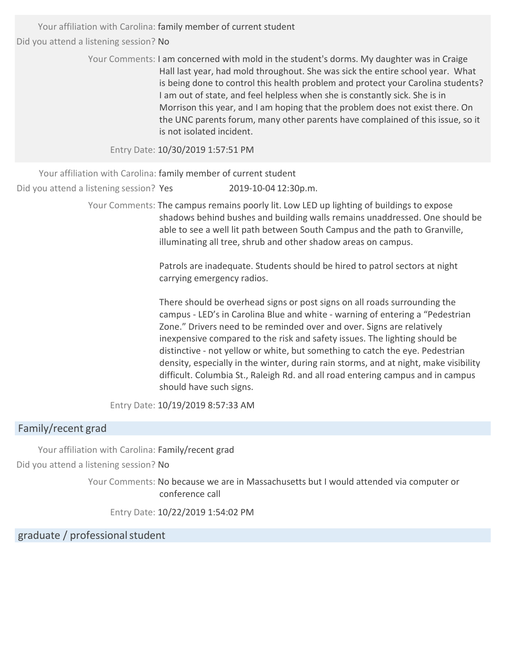> Your Comments: I am concerned with mold in the student's dorms. My daughter was in Craige Hall last year, had mold throughout. She was sick the entire school year. What is being done to control this health problem and protect your Carolina students? I am out of state, and feel helpless when she is constantly sick. She is in Morrison this year, and I am hoping that the problem does not exist there. On the UNC parents forum, many other parents have complained of this issue, so it is not isolated incident.

Entry Date: 10/30/2019 1:57:51 PM

Your affiliation with Carolina: family member of current student

Did you attend a listening session? Yes 2019-10-04 12:30p.m.

Your Comments: The campus remains poorly lit. Low LED up lighting of buildings to expose shadows behind bushes and building walls remains unaddressed. One should be able to see a well lit path between South Campus and the path to Granville, illuminating all tree, shrub and other shadow areas on campus.

> Patrols are inadequate. Students should be hired to patrol sectors at night carrying emergency radios.

There should be overhead signs or post signs on all roads surrounding the campus ‐ LED's in Carolina Blue and white ‐ warning of entering a "Pedestrian Zone." Drivers need to be reminded over and over. Signs are relatively inexpensive compared to the risk and safety issues. The lighting should be distinctive ‐ not yellow or white, but something to catch the eye. Pedestrian density, especially in the winter, during rain storms, and at night, make visibility difficult. Columbia St., Raleigh Rd. and all road entering campus and in campus should have such signs.

Entry Date: 10/19/2019 8:57:33 AM

## Family/recent grad

Your affiliation with Carolina: Family/recent grad Did you attend a listening session? No

> Your Comments: No because we are in Massachusetts but I would attended via computer or conference call

Entry Date: 10/22/2019 1:54:02 PM

graduate / professionalstudent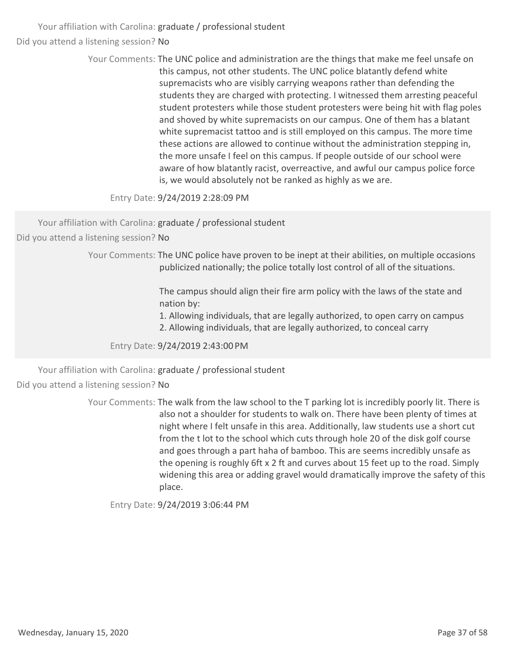> Your Comments: The UNC police and administration are the things that make me feel unsafe on this campus, not other students. The UNC police blatantly defend white supremacists who are visibly carrying weapons rather than defending the students they are charged with protecting. I witnessed them arresting peaceful student protesters while those student protesters were being hit with flag poles and shoved by white supremacists on our campus. One of them has a blatant white supremacist tattoo and is still employed on this campus. The more time these actions are allowed to continue without the administration stepping in, the more unsafe I feel on this campus. If people outside of our school were aware of how blatantly racist, overreactive, and awful our campus police force is, we would absolutely not be ranked as highly as we are.

Entry Date: 9/24/2019 2:28:09 PM

Your affiliation with Carolina: graduate / professional student

Did you attend a listening session? No

Your Comments: The UNC police have proven to be inept at their abilities, on multiple occasions publicized nationally; the police totally lost control of all of the situations.

> The campus should align their fire arm policy with the laws of the state and nation by:

> 1. Allowing individuals, that are legally authorized, to open carry on campus

2. Allowing individuals, that are legally authorized, to conceal carry

Entry Date: 9/24/2019 2:43:00 PM

Your affiliation with Carolina: graduate / professional student

Did you attend a listening session? No

Your Comments: The walk from the law school to the T parking lot is incredibly poorly lit. There is also not a shoulder for students to walk on. There have been plenty of times at night where I felt unsafe in this area. Additionally, law students use a short cut from the t lot to the school which cuts through hole 20 of the disk golf course and goes through a part haha of bamboo. This are seems incredibly unsafe as the opening is roughly 6ft x 2 ft and curves about 15 feet up to the road. Simply widening this area or adding gravel would dramatically improve the safety of this place.

Entry Date: 9/24/2019 3:06:44 PM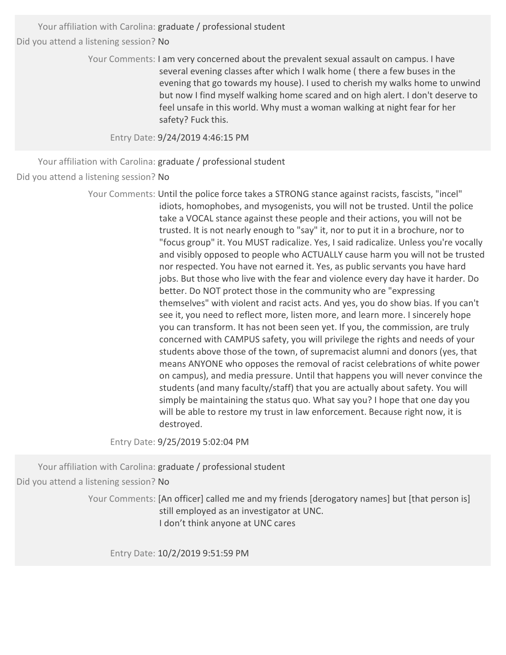> Your Comments: I am very concerned about the prevalent sexual assault on campus. I have several evening classes after which I walk home ( there a few buses in the evening that go towards my house). I used to cherish my walks home to unwind but now I find myself walking home scared and on high alert. I don't deserve to feel unsafe in this world. Why must a woman walking at night fear for her safety? Fuck this.

Entry Date: 9/24/2019 4:46:15 PM

Your affiliation with Carolina: graduate / professional student Did you attend a listening session? No

> Your Comments: Until the police force takes a STRONG stance against racists, fascists, "incel" idiots, homophobes, and mysogenists, you will not be trusted. Until the police take a VOCAL stance against these people and their actions, you will not be trusted. It is not nearly enough to "say" it, nor to put it in a brochure, nor to "focus group" it. You MUST radicalize. Yes, I said radicalize. Unless you're vocally and visibly opposed to people who ACTUALLY cause harm you will not be trusted nor respected. You have not earned it. Yes, as public servants you have hard jobs. But those who live with the fear and violence every day have it harder. Do better. Do NOT protect those in the community who are "expressing themselves" with violent and racist acts. And yes, you do show bias. If you can't see it, you need to reflect more, listen more, and learn more. I sincerely hope you can transform. It has not been seen yet. If you, the commission, are truly concerned with CAMPUS safety, you will privilege the rights and needs of your students above those of the town, of supremacist alumni and donors (yes, that means ANYONE who opposes the removal of racist celebrations of white power on campus), and media pressure. Until that happens you will never convince the students (and many faculty/staff) that you are actually about safety. You will simply be maintaining the status quo. What say you? I hope that one day you will be able to restore my trust in law enforcement. Because right now, it is destroyed.

Entry Date: 9/25/2019 5:02:04 PM

Your affiliation with Carolina: graduate / professional student Did you attend a listening session? No

> Your Comments: [An officer] called me and my friends [derogatory names] but [that person is] still employed as an investigator at UNC. I don't think anyone at UNC cares

Entry Date: 10/2/2019 9:51:59 PM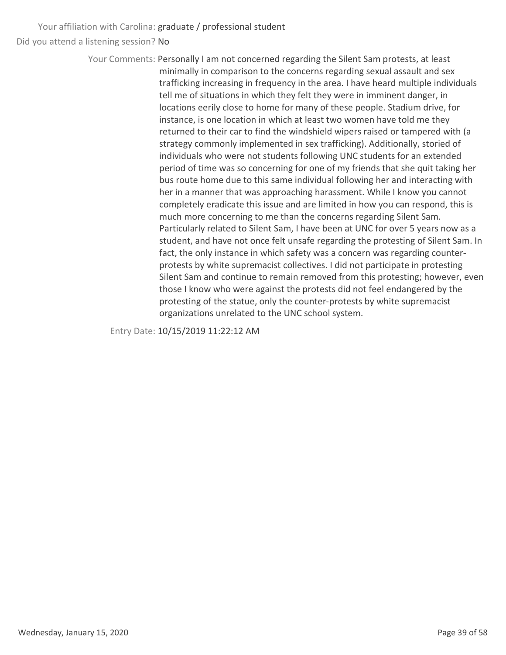> Your Comments: Personally I am not concerned regarding the Silent Sam protests, at least minimally in comparison to the concerns regarding sexual assault and sex trafficking increasing in frequency in the area. I have heard multiple individuals tell me of situations in which they felt they were in imminent danger, in locations eerily close to home for many of these people. Stadium drive, for instance, is one location in which at least two women have told me they returned to their car to find the windshield wipers raised or tampered with (a strategy commonly implemented in sex trafficking). Additionally, storied of individuals who were not students following UNC students for an extended period of time was so concerning for one of my friends that she quit taking her bus route home due to this same individual following her and interacting with her in a manner that was approaching harassment. While I know you cannot completely eradicate this issue and are limited in how you can respond, this is much more concerning to me than the concerns regarding Silent Sam. Particularly related to Silent Sam, I have been at UNC for over 5 years now as a student, and have not once felt unsafe regarding the protesting of Silent Sam. In fact, the only instance in which safety was a concern was regarding counter‐ protests by white supremacist collectives. I did not participate in protesting Silent Sam and continue to remain removed from this protesting; however, even those I know who were against the protests did not feel endangered by the protesting of the statue, only the counter‐protests by white supremacist organizations unrelated to the UNC school system.

Entry Date: 10/15/2019 11:22:12 AM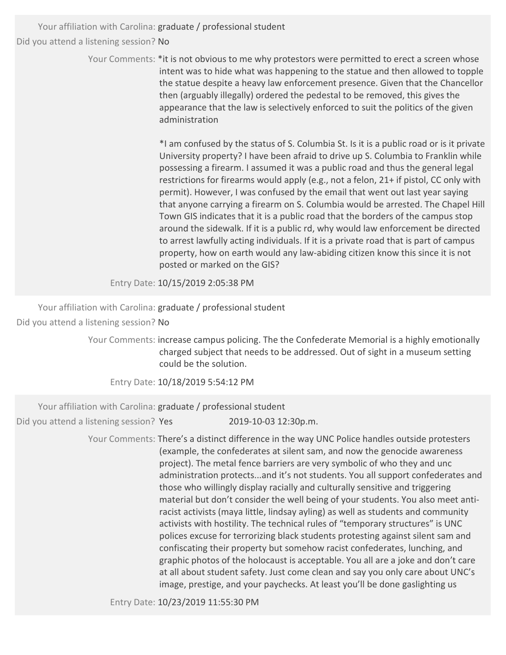> Your Comments: \*it is not obvious to me why protestors were permitted to erect a screen whose intent was to hide what was happening to the statue and then allowed to topple the statue despite a heavy law enforcement presence. Given that the Chancellor then (arguably illegally) ordered the pedestal to be removed, this gives the appearance that the law is selectively enforced to suit the politics of the given administration

> > \*I am confused by the status of S. Columbia St. Is it is a public road or is it private University property? I have been afraid to drive up S. Columbia to Franklin while possessing a firearm. I assumed it was a public road and thus the general legal restrictions for firearms would apply (e.g., not a felon, 21+ if pistol, CC only with permit). However, I was confused by the email that went out last year saying that anyone carrying a firearm on S. Columbia would be arrested. The Chapel Hill Town GIS indicates that it is a public road that the borders of the campus stop around the sidewalk. If it is a public rd, why would law enforcement be directed to arrest lawfully acting individuals. If it is a private road that is part of campus property, how on earth would any law‐abiding citizen know this since it is not posted or marked on the GIS?

Entry Date: 10/15/2019 2:05:38 PM

Your affiliation with Carolina: graduate / professional student

Did you attend a listening session? No

Your Comments: increase campus policing. The the Confederate Memorial is a highly emotionally charged subject that needs to be addressed. Out of sight in a museum setting could be the solution.

Entry Date: 10/18/2019 5:54:12 PM

Your affiliation with Carolina: graduate / professional student

Did you attend a listening session? Yes 2019-10-03 12:30p.m.

Your Comments: There's a distinct difference in the way UNC Police handles outside protesters (example, the confederates at silent sam, and now the genocide awareness project). The metal fence barriers are very symbolic of who they and unc administration protects...and it's not students. You all support confederates and those who willingly display racially and culturally sensitive and triggering material but don't consider the well being of your students. You also meet anti‐ racist activists (maya little, lindsay ayling) as well as students and community activists with hostility. The technical rules of "temporary structures" is UNC polices excuse for terrorizing black students protesting against silent sam and confiscating their property but somehow racist confederates, lunching, and graphic photos of the holocaust is acceptable. You all are a joke and don't care at all about student safety. Just come clean and say you only care about UNC's image, prestige, and your paychecks. At least you'll be done gaslighting us

Entry Date: 10/23/2019 11:55:30 PM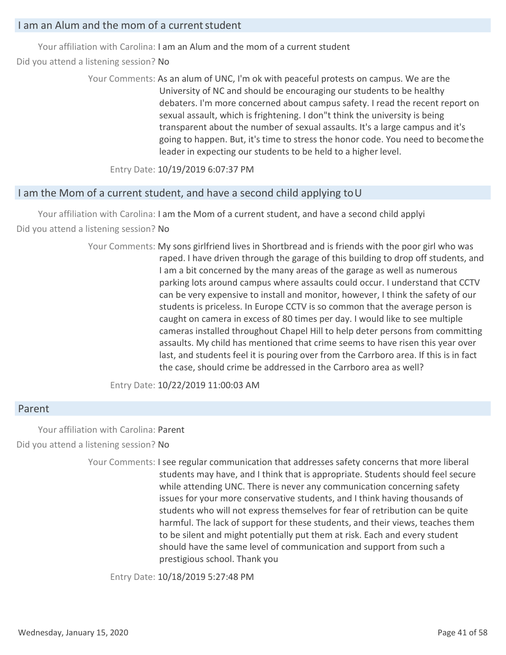## I am an Alum and the mom of a currentstudent

Your affiliation with Carolina: I am an Alum and the mom of a current student

Did you attend a listening session? No

Your Comments: As an alum of UNC, I'm ok with peaceful protests on campus. We are the University of NC and should be encouraging our students to be healthy debaters. I'm more concerned about campus safety. I read the recent report on sexual assault, which is frightening. I don"t think the university is being transparent about the number of sexual assaults. It's a large campus and it's going to happen. But, it's time to stress the honor code. You need to becomethe leader in expecting our students to be held to a higher level.

Entry Date: 10/19/2019 6:07:37 PM

## I am the Mom of a current student, and have a second child applying to U

Your affiliation with Carolina: I am the Mom of a current student, and have a second child applyi Did you attend a listening session? No

> Your Comments: My sons girlfriend lives in Shortbread and is friends with the poor girl who was raped. I have driven through the garage of this building to drop off students, and I am a bit concerned by the many areas of the garage as well as numerous parking lots around campus where assaults could occur. I understand that CCTV can be very expensive to install and monitor, however, I think the safety of our students is priceless. In Europe CCTV is so common that the average person is caught on camera in excess of 80 times per day. I would like to see multiple cameras installed throughout Chapel Hill to help deter persons from committing assaults. My child has mentioned that crime seems to have risen this year over last, and students feel it is pouring over from the Carrboro area. If this is in fact the case, should crime be addressed in the Carrboro area as well?

Entry Date: 10/22/2019 11:00:03 AM

#### Parent

Your affiliation with Carolina: Parent Did you attend a listening session? No

> Your Comments: I see regular communication that addresses safety concerns that more liberal students may have, and I think that is appropriate. Students should feel secure while attending UNC. There is never any communication concerning safety issues for your more conservative students, and I think having thousands of students who will not express themselves for fear of retribution can be quite harmful. The lack of support for these students, and their views, teaches them to be silent and might potentially put them at risk. Each and every student should have the same level of communication and support from such a prestigious school. Thank you

Entry Date: 10/18/2019 5:27:48 PM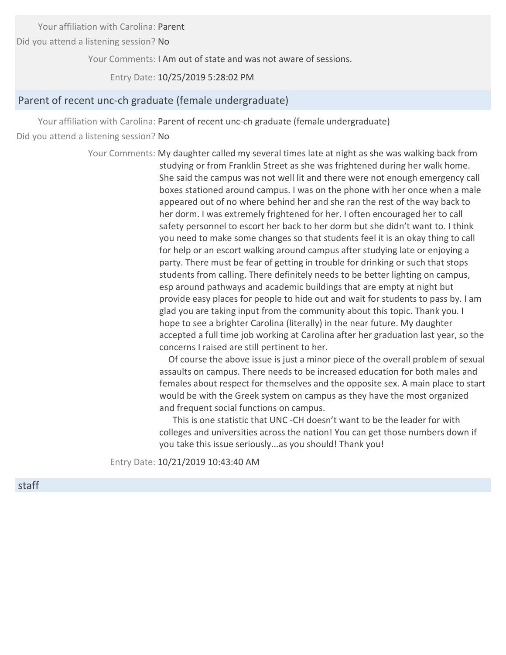Your affiliation with Carolina: Parent

Did you attend a listening session? No

Your Comments: I Am out of state and was not aware of sessions.

Entry Date: 10/25/2019 5:28:02 PM

#### Parent of recent unc‐ch graduate (female undergraduate)

Your affiliation with Carolina: Parent of recent unc-ch graduate (female undergraduate) Did you attend a listening session? No

> Your Comments: My daughter called my several times late at night as she was walking back from studying or from Franklin Street as she was frightened during her walk home. She said the campus was not well lit and there were not enough emergency call boxes stationed around campus. I was on the phone with her once when a male appeared out of no where behind her and she ran the rest of the way back to her dorm. I was extremely frightened for her. I often encouraged her to call safety personnel to escort her back to her dorm but she didn't want to. I think you need to make some changes so that students feel it is an okay thing to call for help or an escort walking around campus after studying late or enjoying a party. There must be fear of getting in trouble for drinking or such that stops students from calling. There definitely needs to be better lighting on campus, esp around pathways and academic buildings that are empty at night but provide easy places for people to hide out and wait for students to pass by. I am glad you are taking input from the community about this topic. Thank you. I hope to see a brighter Carolina (literally) in the near future. My daughter accepted a full time job working at Carolina after her graduation last year, so the concerns I raised are still pertinent to her.

> > Of course the above issue is just a minor piece of the overall problem of sexual assaults on campus. There needs to be increased education for both males and females about respect for themselves and the opposite sex. A main place to start would be with the Greek system on campus as they have the most organized and frequent social functions on campus.

This is one statistic that UNC ‐CH doesn't want to be the leader for with colleges and universities across the nation! You can get those numbers down if you take this issue seriously...as you should! Thank you!

Entry Date: 10/21/2019 10:43:40 AM

staff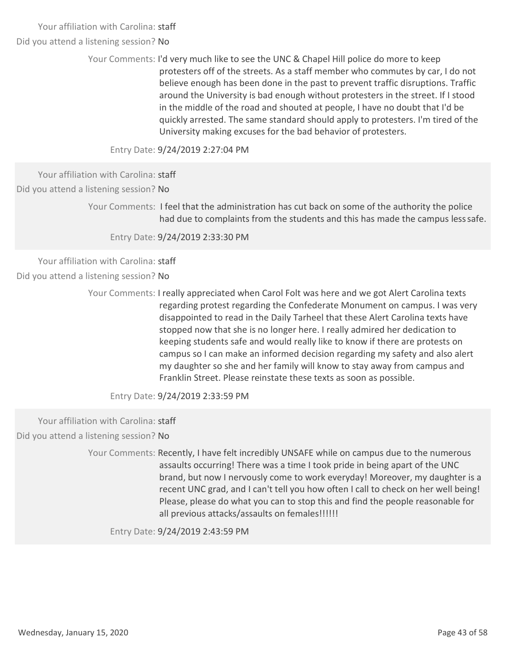Did you attend a listening session? No

Your Comments: I'd very much like to see the UNC & Chapel Hill police do more to keep protesters off of the streets. As a staff member who commutes by car, I do not believe enough has been done in the past to prevent traffic disruptions. Traffic around the University is bad enough without protesters in the street. If I stood in the middle of the road and shouted at people, I have no doubt that I'd be quickly arrested. The same standard should apply to protesters. I'm tired of the University making excuses for the bad behavior of protesters.

Entry Date: 9/24/2019 2:27:04 PM

Your affiliation with Carolina: staff Did you attend a listening session? No

> Your Comments: I feel that the administration has cut back on some of the authority the police had due to complaints from the students and this has made the campus lesssafe.

Entry Date: 9/24/2019 2:33:30 PM

Your affiliation with Carolina: staff Did you attend a listening session? No

> Your Comments: I really appreciated when Carol Folt was here and we got Alert Carolina texts regarding protest regarding the Confederate Monument on campus. I was very disappointed to read in the Daily Tarheel that these Alert Carolina texts have stopped now that she is no longer here. I really admired her dedication to keeping students safe and would really like to know if there are protests on campus so I can make an informed decision regarding my safety and also alert my daughter so she and her family will know to stay away from campus and Franklin Street. Please reinstate these texts as soon as possible.

Entry Date: 9/24/2019 2:33:59 PM

Your affiliation with Carolina: staff

Did you attend a listening session? No

Your Comments: Recently, I have felt incredibly UNSAFE while on campus due to the numerous assaults occurring! There was a time I took pride in being apart of the UNC brand, but now I nervously come to work everyday! Moreover, my daughter is a recent UNC grad, and I can't tell you how often I call to check on her well being! Please, please do what you can to stop this and find the people reasonable for all previous attacks/assaults on females!!!!!!

Entry Date: 9/24/2019 2:43:59 PM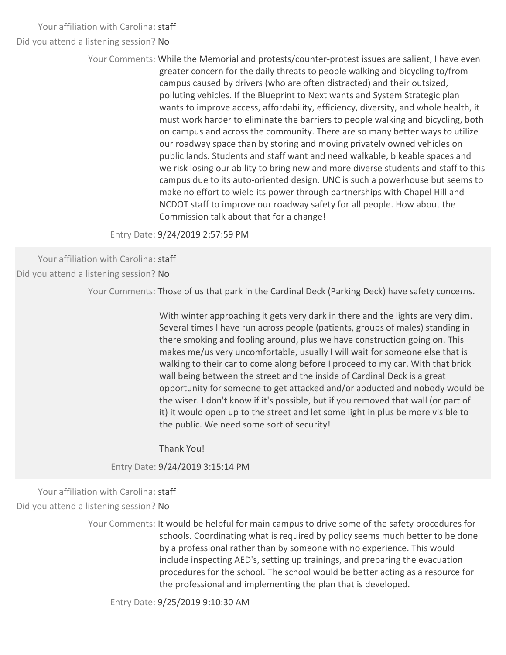Did you attend a listening session? No

Your Comments: While the Memorial and protests/counter-protest issues are salient, I have even greater concern for the daily threats to people walking and bicycling to/from campus caused by drivers (who are often distracted) and their outsized, polluting vehicles. If the Blueprint to Next wants and System Strategic plan wants to improve access, affordability, efficiency, diversity, and whole health, it must work harder to eliminate the barriers to people walking and bicycling, both on campus and across the community. There are so many better ways to utilize our roadway space than by storing and moving privately owned vehicles on public lands. Students and staff want and need walkable, bikeable spaces and we risk losing our ability to bring new and more diverse students and staff to this campus due to its auto‐oriented design. UNC is such a powerhouse but seems to make no effort to wield its power through partnerships with Chapel Hill and NCDOT staff to improve our roadway safety for all people. How about the Commission talk about that for a change!

Entry Date: 9/24/2019 2:57:59 PM

Your affiliation with Carolina: staff

Did you attend a listening session? No

Your Comments: Those of us that park in the Cardinal Deck (Parking Deck) have safety concerns.

With winter approaching it gets very dark in there and the lights are very dim. Several times I have run across people (patients, groups of males) standing in there smoking and fooling around, plus we have construction going on. This makes me/us very uncomfortable, usually I will wait for someone else that is walking to their car to come along before I proceed to my car. With that brick wall being between the street and the inside of Cardinal Deck is a great opportunity for someone to get attacked and/or abducted and nobody would be the wiser. I don't know if it's possible, but if you removed that wall (or part of it) it would open up to the street and let some light in plus be more visible to the public. We need some sort of security!

Thank You!

Entry Date: 9/24/2019 3:15:14 PM

Your affiliation with Carolina: staff

Did you attend a listening session? No

Your Comments: It would be helpful for main campus to drive some of the safety procedures for schools. Coordinating what is required by policy seems much better to be done by a professional rather than by someone with no experience. This would include inspecting AED's, setting up trainings, and preparing the evacuation procedures for the school. The school would be better acting as a resource for the professional and implementing the plan that is developed.

Entry Date: 9/25/2019 9:10:30 AM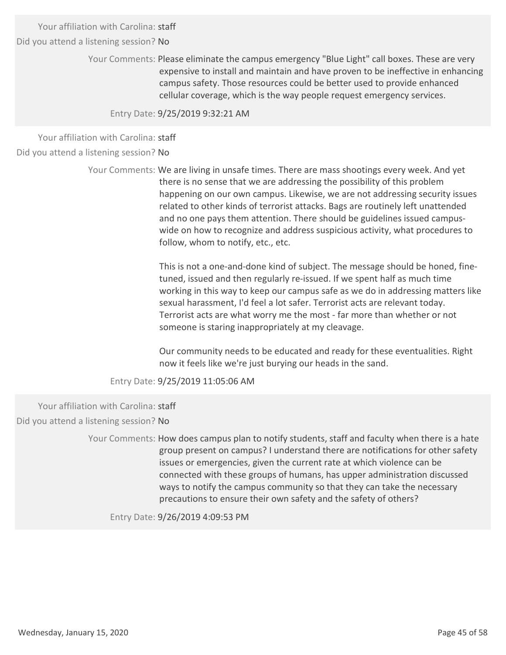Did you attend a listening session? No

Your Comments: Please eliminate the campus emergency "Blue Light" call boxes. These are very expensive to install and maintain and have proven to be ineffective in enhancing campus safety. Those resources could be better used to provide enhanced cellular coverage, which is the way people request emergency services.

Entry Date: 9/25/2019 9:32:21 AM

Your affiliation with Carolina: staff

Did you attend a listening session? No

Your Comments: We are living in unsafe times. There are mass shootings every week. And yet there is no sense that we are addressing the possibility of this problem happening on our own campus. Likewise, we are not addressing security issues related to other kinds of terrorist attacks. Bags are routinely left unattended and no one pays them attention. There should be guidelines issued campus‐ wide on how to recognize and address suspicious activity, what procedures to follow, whom to notify, etc., etc.

> This is not a one‐and‐done kind of subject. The message should be honed, fine‐ tuned, issued and then regularly re‐issued. If we spent half as much time working in this way to keep our campus safe as we do in addressing matters like sexual harassment, I'd feel a lot safer. Terrorist acts are relevant today. Terrorist acts are what worry me the most ‐ far more than whether or not someone is staring inappropriately at my cleavage.

Our community needs to be educated and ready for these eventualities. Right now it feels like we're just burying our heads in the sand.

Entry Date: 9/25/2019 11:05:06 AM

Your affiliation with Carolina: staff

Did you attend a listening session? No

Your Comments: How does campus plan to notify students, staff and faculty when there is a hate group present on campus? I understand there are notifications for other safety issues or emergencies, given the current rate at which violence can be connected with these groups of humans, has upper administration discussed ways to notify the campus community so that they can take the necessary precautions to ensure their own safety and the safety of others?

Entry Date: 9/26/2019 4:09:53 PM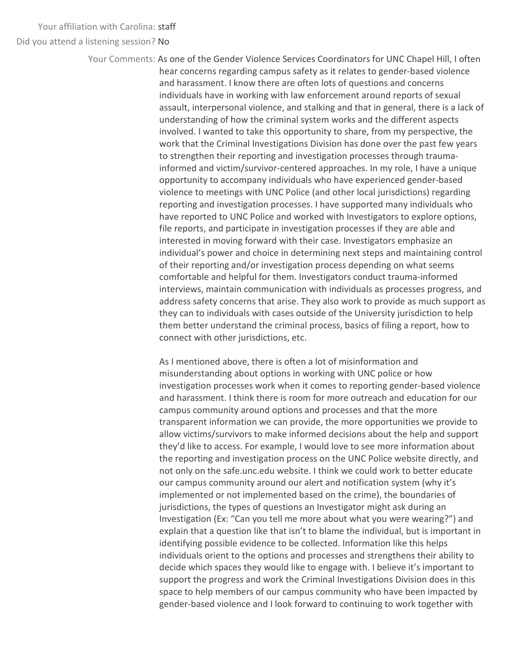Did you attend a listening session? No

Your Comments: As one of the Gender Violence Services Coordinators for UNC Chapel Hill, I often hear concerns regarding campus safety as it relates to gender‐based violence and harassment. I know there are often lots of questions and concerns individuals have in working with law enforcement around reports of sexual assault, interpersonal violence, and stalking and that in general, there is a lack of understanding of how the criminal system works and the different aspects involved. I wanted to take this opportunity to share, from my perspective, the work that the Criminal Investigations Division has done over the past few years to strengthen their reporting and investigation processes through trauma‐ informed and victim/survivor‐centered approaches. In my role, I have a unique opportunity to accompany individuals who have experienced gender‐based violence to meetings with UNC Police (and other local jurisdictions) regarding reporting and investigation processes. I have supported many individuals who have reported to UNC Police and worked with Investigators to explore options, file reports, and participate in investigation processes if they are able and interested in moving forward with their case. Investigators emphasize an individual's power and choice in determining next steps and maintaining control of their reporting and/or investigation process depending on what seems comfortable and helpful for them. Investigators conduct trauma‐informed interviews, maintain communication with individuals as processes progress, and address safety concerns that arise. They also work to provide as much support as they can to individuals with cases outside of the University jurisdiction to help them better understand the criminal process, basics of filing a report, how to connect with other jurisdictions, etc.

> As I mentioned above, there is often a lot of misinformation and misunderstanding about options in working with UNC police or how investigation processes work when it comes to reporting gender‐based violence and harassment. I think there is room for more outreach and education for our campus community around options and processes and that the more transparent information we can provide, the more opportunities we provide to allow victims/survivors to make informed decisions about the help and support they'd like to access. For example, I would love to see more information about the reporting and investigation process on the UNC Police website directly, and not only on the safe.unc.edu website. I think we could work to better educate our campus community around our alert and notification system (why it's implemented or not implemented based on the crime), the boundaries of jurisdictions, the types of questions an Investigator might ask during an Investigation (Ex: "Can you tell me more about what you were wearing?") and explain that a question like that isn't to blame the individual, but is important in identifying possible evidence to be collected. Information like this helps individuals orient to the options and processes and strengthens their ability to decide which spaces they would like to engage with. I believe it's important to support the progress and work the Criminal Investigations Division does in this space to help members of our campus community who have been impacted by gender‐based violence and I look forward to continuing to work together with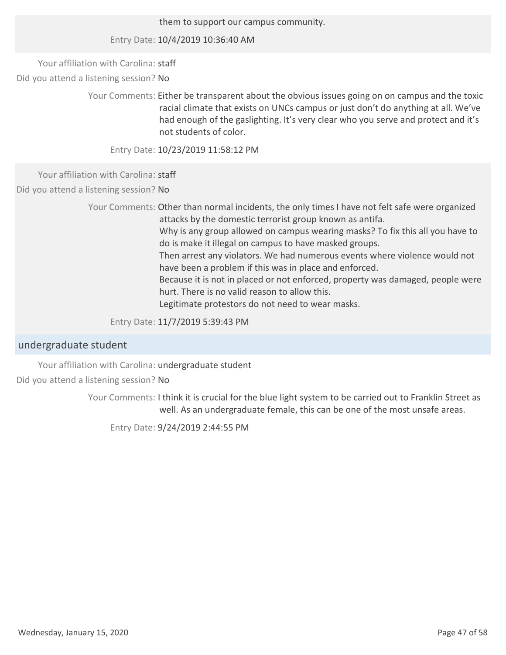them to support our campus community.

Entry Date: 10/4/2019 10:36:40 AM

Your affiliation with Carolina: staff

Did you attend a listening session? No

Your Comments: Either be transparent about the obvious issues going on on campus and the toxic racial climate that exists on UNCs campus or just don't do anything at all. We've had enough of the gaslighting. It's very clear who you serve and protect and it's not students of color.

Entry Date: 10/23/2019 11:58:12 PM

Your affiliation with Carolina: staff

Did you attend a listening session? No

Your Comments: Other than normal incidents, the only times I have not felt safe were organized attacks by the domestic terrorist group known as antifa. Why is any group allowed on campus wearing masks? To fix this all you have to do is make it illegal on campus to have masked groups. Then arrest any violators. We had numerous events where violence would not have been a problem if this was in place and enforced. Because it is not in placed or not enforced, property was damaged, people were hurt. There is no valid reason to allow this. Legitimate protestors do not need to wear masks.

Entry Date: 11/7/2019 5:39:43 PM

## undergraduate student

Your affiliation with Carolina: undergraduate student

Did you attend a listening session? No

Your Comments: I think it is crucial for the blue light system to be carried out to Franklin Street as well. As an undergraduate female, this can be one of the most unsafe areas.

Entry Date: 9/24/2019 2:44:55 PM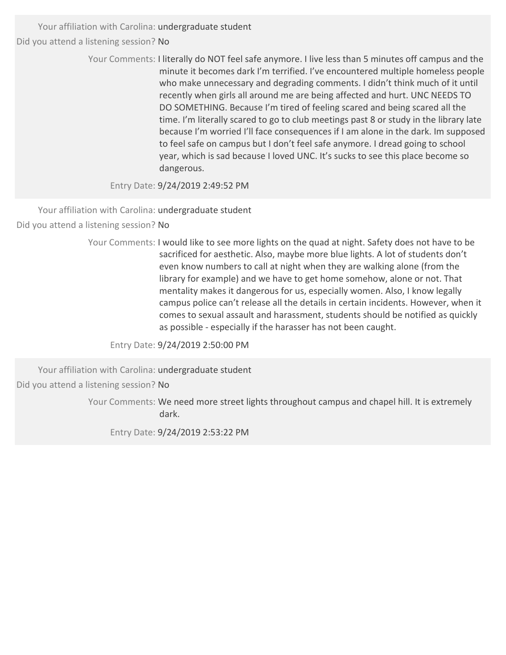> Your Comments: I literally do NOT feel safe anymore. I live less than 5 minutes off campus and the minute it becomes dark I'm terrified. I've encountered multiple homeless people who make unnecessary and degrading comments. I didn't think much of it until recently when girls all around me are being affected and hurt. UNC NEEDS TO DO SOMETHING. Because I'm tired of feeling scared and being scared all the time. I'm literally scared to go to club meetings past 8 or study in the library late because I'm worried I'll face consequences if I am alone in the dark. Im supposed to feel safe on campus but I don't feel safe anymore. I dread going to school year, which is sad because I loved UNC. It's sucks to see this place become so dangerous.

Entry Date: 9/24/2019 2:49:52 PM

Your affiliation with Carolina: undergraduate student Did you attend a listening session? No

> Your Comments: I would Iike to see more lights on the quad at night. Safety does not have to be sacrificed for aesthetic. Also, maybe more blue lights. A lot of students don't even know numbers to call at night when they are walking alone (from the library for example) and we have to get home somehow, alone or not. That mentality makes it dangerous for us, especially women. Also, I know legally campus police can't release all the details in certain incidents. However, when it comes to sexual assault and harassment, students should be notified as quickly as possible ‐ especially if the harasser has not been caught.

Entry Date: 9/24/2019 2:50:00 PM

Your affiliation with Carolina: undergraduate student Did you attend a listening session? No

> Your Comments: We need more street lights throughout campus and chapel hill. It is extremely dark.

Entry Date: 9/24/2019 2:53:22 PM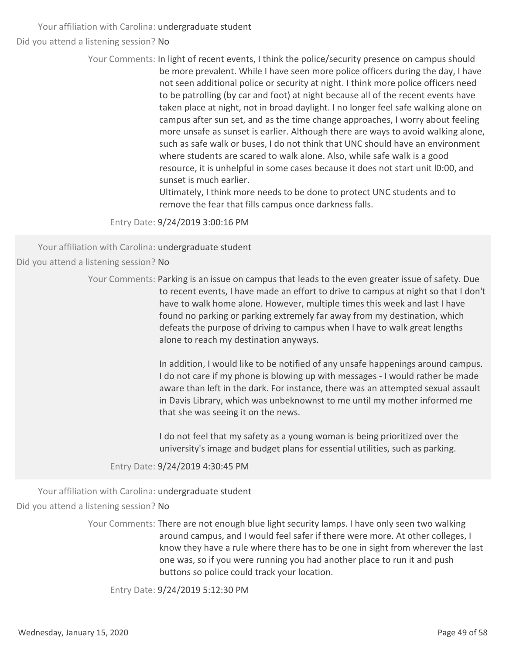> Your Comments: In light of recent events, I think the police/security presence on campus should be more prevalent. While I have seen more police officers during the day, I have not seen additional police or security at night. I think more police officers need to be patrolling (by car and foot) at night because all of the recent events have taken place at night, not in broad daylight. I no longer feel safe walking alone on campus after sun set, and as the time change approaches, I worry about feeling more unsafe as sunset is earlier. Although there are ways to avoid walking alone, such as safe walk or buses, I do not think that UNC should have an environment where students are scared to walk alone. Also, while safe walk is a good resource, it is unhelpful in some cases because it does not start unit l0:00, and sunset is much earlier.

> > Ultimately, I think more needs to be done to protect UNC students and to remove the fear that fills campus once darkness falls.

Entry Date: 9/24/2019 3:00:16 PM

Your affiliation with Carolina: undergraduate student Did you attend a listening session? No

> Your Comments: Parking is an issue on campus that leads to the even greater issue of safety. Due to recent events, I have made an effort to drive to campus at night so that I don't have to walk home alone. However, multiple times this week and last I have found no parking or parking extremely far away from my destination, which defeats the purpose of driving to campus when I have to walk great lengths alone to reach my destination anyways.

> > In addition, I would like to be notified of any unsafe happenings around campus. I do not care if my phone is blowing up with messages ‐ I would rather be made aware than left in the dark. For instance, there was an attempted sexual assault in Davis Library, which was unbeknownst to me until my mother informed me that she was seeing it on the news.

I do not feel that my safety as a young woman is being prioritized over the university's image and budget plans for essential utilities, such as parking.

Entry Date: 9/24/2019 4:30:45 PM

Your affiliation with Carolina: undergraduate student Did you attend a listening session? No

> Your Comments: There are not enough blue light security lamps. I have only seen two walking around campus, and I would feel safer if there were more. At other colleges, I know they have a rule where there has to be one in sight from wherever the last one was, so if you were running you had another place to run it and push buttons so police could track your location.

Entry Date: 9/24/2019 5:12:30 PM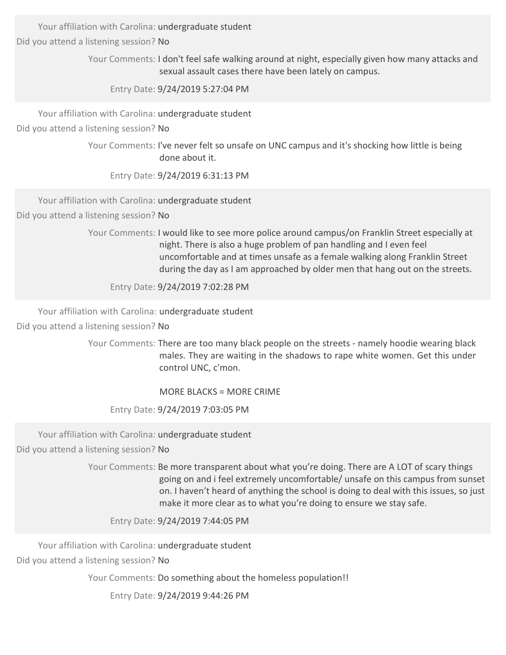Your affiliation with Carolina: undergraduate student

Did you attend a listening session? No

Your Comments: I don't feel safe walking around at night, especially given how many attacks and sexual assault cases there have been lately on campus.

Entry Date: 9/24/2019 5:27:04 PM

Your affiliation with Carolina: undergraduate student

Did you attend a listening session? No

Your Comments: I've never felt so unsafe on UNC campus and it's shocking how little is being done about it.

Entry Date: 9/24/2019 6:31:13 PM

Your affiliation with Carolina: undergraduate student

Did you attend a listening session? No

Your Comments: I would like to see more police around campus/on Franklin Street especially at night. There is also a huge problem of pan handling and I even feel uncomfortable and at times unsafe as a female walking along Franklin Street during the day as I am approached by older men that hang out on the streets.

Entry Date: 9/24/2019 7:02:28 PM

Your affiliation with Carolina: undergraduate student

Did you attend a listening session? No

Your Comments: There are too many black people on the streets - namely hoodie wearing black males. They are waiting in the shadows to rape white women. Get this under control UNC, c'mon.

MORE BLACKS = MORE CRIME

Entry Date: 9/24/2019 7:03:05 PM

Your affiliation with Carolina: undergraduate student

Did you attend a listening session? No

Your Comments: Be more transparent about what you're doing. There are A LOT of scary things going on and i feel extremely uncomfortable/ unsafe on this campus from sunset on. I haven't heard of anything the school is doing to deal with this issues, so just make it more clear as to what you're doing to ensure we stay safe.

Entry Date: 9/24/2019 7:44:05 PM

Your affiliation with Carolina: undergraduate student Did you attend a listening session? No

Your Comments: Do something about the homeless population!!

Entry Date: 9/24/2019 9:44:26 PM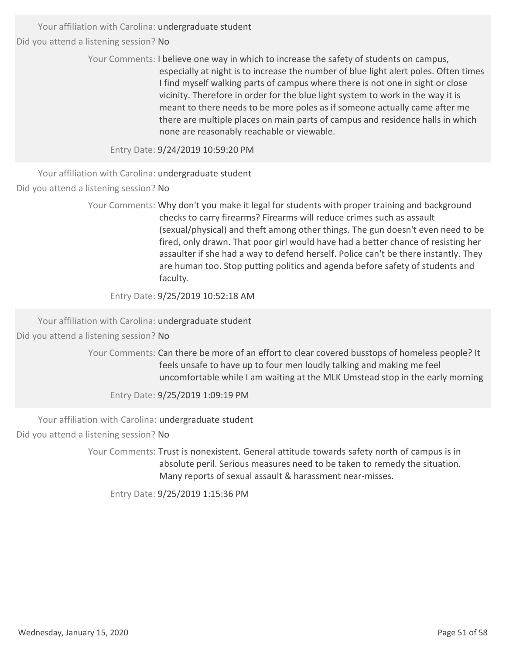> Your Comments: I believe one way in which to increase the safety of students on campus, especially at night is to increase the number of blue light alert poles. Often times I find myself walking parts of campus where there is not one in sight or close vicinity. Therefore in order for the blue light system to work in the way it is meant to there needs to be more poles as if someone actually came after me there are multiple places on main parts of campus and residence halls in which none are reasonably reachable or viewable.

Entry Date: 9/24/2019 10:59:20 PM

Your affiliation with Carolina: undergraduate student Did you attend a listening session? No

> Your Comments: Why don't you make it legal for students with proper training and background checks to carry firearms? Firearms will reduce crimes such as assault (sexual/physical) and theft among other things. The gun doesn't even need to be fired, only drawn. That poor girl would have had a better chance of resisting her assaulter if she had a way to defend herself. Police can't be there instantly. They are human too. Stop putting politics and agenda before safety of students and faculty.

Entry Date: 9/25/2019 10:52:18 AM

Your affiliation with Carolina: undergraduate student Did you attend a listening session? No

> Your Comments: Can there be more of an effort to clear covered busstops of homeless people? It feels unsafe to have up to four men loudly talking and making me feel uncomfortable while I am waiting at the MLK Umstead stop in the early morning

Entry Date: 9/25/2019 1:09:19 PM

Your affiliation with Carolina: undergraduate student

Did you attend a listening session? No

Your Comments: Trust is nonexistent. General attitude towards safety north of campus is in absolute peril. Serious measures need to be taken to remedy the situation. Many reports of sexual assault & harassment near‐misses.

Entry Date: 9/25/2019 1:15:36 PM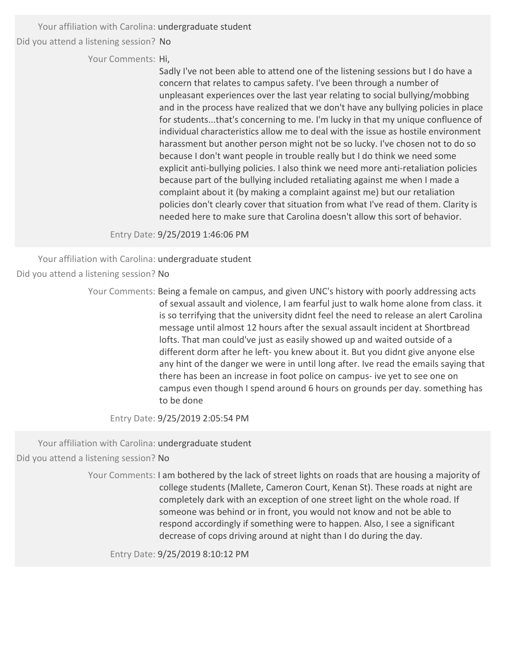Your affiliation with Carolina: undergraduate student

Did you attend a listening session? No

Your Comments: Hi,

Sadly I've not been able to attend one of the listening sessions but I do have a concern that relates to campus safety. I've been through a number of unpleasant experiences over the last year relating to social bullying/mobbing and in the process have realized that we don't have any bullying policies in place for students...that's concerning to me. I'm lucky in that my unique confluence of individual characteristics allow me to deal with the issue as hostile environment harassment but another person might not be so lucky. I've chosen not to do so because I don't want people in trouble really but I do think we need some explicit anti-bullying policies. I also think we need more anti-retaliation policies because part of the bullying included retaliating against me when I made a complaint about it (by making a complaint against me) but our retaliation policies don't clearly cover that situation from what I've read of them. Clarity is needed here to make sure that Carolina doesn't allow this sort of behavior.

Entry Date: 9/25/2019 1:46:06 PM

Your affiliation with Carolina: undergraduate student Did you attend a listening session? No

> Your Comments: Being a female on campus, and given UNC's history with poorly addressing acts of sexual assault and violence, I am fearful just to walk home alone from class. it is so terrifying that the university didnt feel the need to release an alert Carolina message until almost 12 hours after the sexual assault incident at Shortbread lofts. That man could've just as easily showed up and waited outside of a different dorm after he left- you knew about it. But you didnt give anyone else any hint of the danger we were in until long after. Ive read the emails saying that there has been an increase in foot police on campus‐ ive yet to see one on campus even though I spend around 6 hours on grounds per day. something has to be done

Entry Date: 9/25/2019 2:05:54 PM

Your affiliation with Carolina: undergraduate student

Did you attend a listening session? No

Your Comments: I am bothered by the lack of street lights on roads that are housing a majority of college students (Mallete, Cameron Court, Kenan St). These roads at night are completely dark with an exception of one street light on the whole road. If someone was behind or in front, you would not know and not be able to respond accordingly if something were to happen. Also, I see a significant decrease of cops driving around at night than I do during the day.

Entry Date: 9/25/2019 8:10:12 PM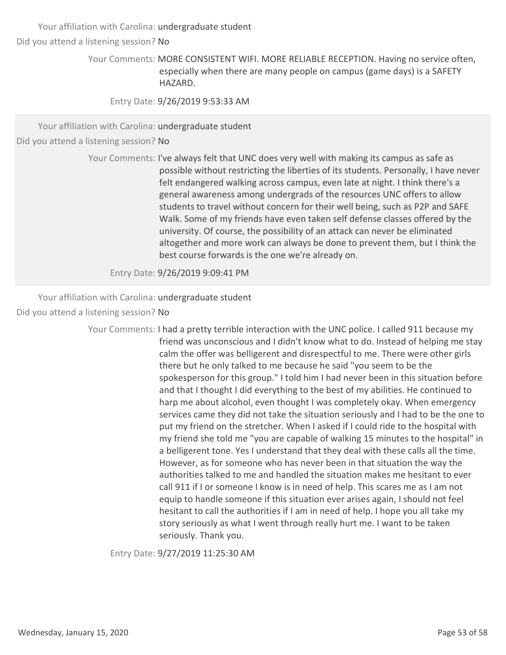Your affiliation with Carolina: undergraduate student

Did you attend a listening session? No

Your Comments: MORE CONSISTENT WIFI. MORE RELIABLE RECEPTION. Having no service often, especially when there are many people on campus (game days) is a SAFETY HAZARD.

Entry Date: 9/26/2019 9:53:33 AM

Your affiliation with Carolina: undergraduate student

Did you attend a listening session? No

Your Comments: I've always felt that UNC does very well with making its campus as safe as possible without restricting the liberties of its students. Personally, I have never felt endangered walking across campus, even late at night. I think there's a general awareness among undergrads of the resources UNC offers to allow students to travel without concern for their well being, such as P2P and SAFE Walk. Some of my friends have even taken self defense classes offered by the university. Of course, the possibility of an attack can never be eliminated altogether and more work can always be done to prevent them, but I think the best course forwards is the one we're already on.

Entry Date: 9/26/2019 9:09:41 PM

Your affiliation with Carolina: undergraduate student

Did you attend a listening session? No

Your Comments: I had a pretty terrible interaction with the UNC police. I called 911 because my friend was unconscious and I didn't know what to do. Instead of helping me stay calm the offer was belligerent and disrespectful to me. There were other girls there but he only talked to me because he said "you seem to be the spokesperson for this group." I told him I had never been in this situation before and that I thought I did everything to the best of my abilities. He continued to harp me about alcohol, even thought I was completely okay. When emergency services came they did not take the situation seriously and I had to be the one to put my friend on the stretcher. When I asked if I could ride to the hospital with my friend she told me "you are capable of walking 15 minutes to the hospital" in a belligerent tone. Yes I understand that they deal with these calls all the time. However, as for someone who has never been in that situation the way the authorities talked to me and handled the situation makes me hesitant to ever call 911 if I or someone I know is in need of help. This scares me as I am not equip to handle someone if this situation ever arises again, I should not feel hesitant to call the authorities if I am in need of help. I hope you all take my story seriously as what I went through really hurt me. I want to be taken seriously. Thank you.

Entry Date: 9/27/2019 11:25:30 AM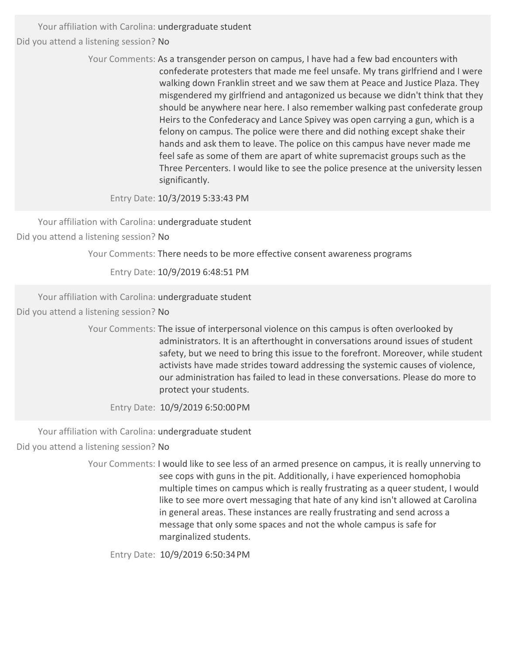> Your Comments: As a transgender person on campus, I have had a few bad encounters with confederate protesters that made me feel unsafe. My trans girlfriend and I were walking down Franklin street and we saw them at Peace and Justice Plaza. They misgendered my girlfriend and antagonized us because we didn't think that they should be anywhere near here. I also remember walking past confederate group Heirs to the Confederacy and Lance Spivey was open carrying a gun, which is a felony on campus. The police were there and did nothing except shake their hands and ask them to leave. The police on this campus have never made me feel safe as some of them are apart of white supremacist groups such as the Three Percenters. I would like to see the police presence at the university lessen significantly.

Entry Date: 10/3/2019 5:33:43 PM

Your affiliation with Carolina: undergraduate student Did you attend a listening session? No

Your Comments: There needs to be more effective consent awareness programs

Entry Date: 10/9/2019 6:48:51 PM

Your affiliation with Carolina: undergraduate student

Did you attend a listening session? No

Your Comments: The issue of interpersonal violence on this campus is often overlooked by administrators. It is an afterthought in conversations around issues of student safety, but we need to bring this issue to the forefront. Moreover, while student activists have made strides toward addressing the systemic causes of violence, our administration has failed to lead in these conversations. Please do more to protect your students.

Entry Date: 10/9/2019 6:50:00PM

Your affiliation with Carolina: undergraduate student Did you attend a listening session? No

> Your Comments: I would like to see less of an armed presence on campus, it is really unnerving to see cops with guns in the pit. Additionally, i have experienced homophobia multiple times on campus which is really frustrating as a queer student, I would like to see more overt messaging that hate of any kind isn't allowed at Carolina in general areas. These instances are really frustrating and send across a message that only some spaces and not the whole campus is safe for marginalized students.

Entry Date: 10/9/2019 6:50:34PM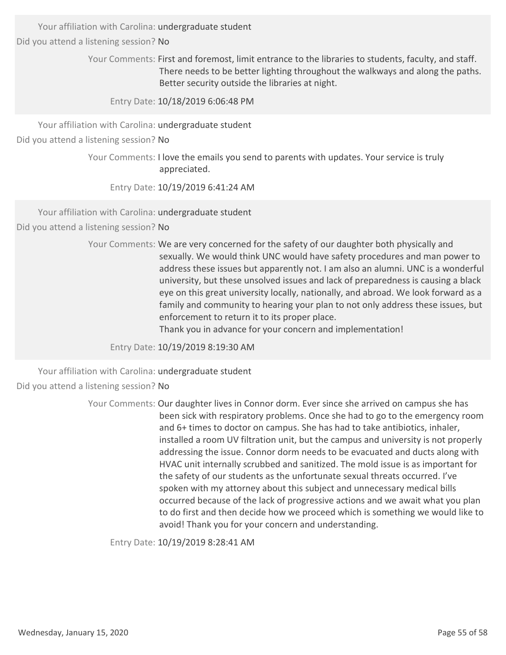Your affiliation with Carolina: undergraduate student

Did you attend a listening session? No

Your Comments: First and foremost, limit entrance to the libraries to students, faculty, and staff. There needs to be better lighting throughout the walkways and along the paths. Better security outside the libraries at night.

Entry Date: 10/18/2019 6:06:48 PM

Your affiliation with Carolina: undergraduate student

Did you attend a listening session? No

Your Comments: I love the emails you send to parents with updates. Your service is truly appreciated.

Entry Date: 10/19/2019 6:41:24 AM

Your affiliation with Carolina: undergraduate student

Did you attend a listening session? No

Your Comments: We are very concerned for the safety of our daughter both physically and sexually. We would think UNC would have safety procedures and man power to address these issues but apparently not. I am also an alumni. UNC is a wonderful university, but these unsolved issues and lack of preparedness is causing a black eye on this great university locally, nationally, and abroad. We look forward as a family and community to hearing your plan to not only address these issues, but enforcement to return it to its proper place.

Thank you in advance for your concern and implementation!

Entry Date: 10/19/2019 8:19:30 AM

Your affiliation with Carolina: undergraduate student Did you attend a listening session? No

> Your Comments: Our daughter lives in Connor dorm. Ever since she arrived on campus she has been sick with respiratory problems. Once she had to go to the emergency room and 6+ times to doctor on campus. She has had to take antibiotics, inhaler, installed a room UV filtration unit, but the campus and university is not properly addressing the issue. Connor dorm needs to be evacuated and ducts along with HVAC unit internally scrubbed and sanitized. The mold issue is as important for the safety of our students as the unfortunate sexual threats occurred. I've spoken with my attorney about this subject and unnecessary medical bills occurred because of the lack of progressive actions and we await what you plan to do first and then decide how we proceed which is something we would like to avoid! Thank you for your concern and understanding.

Entry Date: 10/19/2019 8:28:41 AM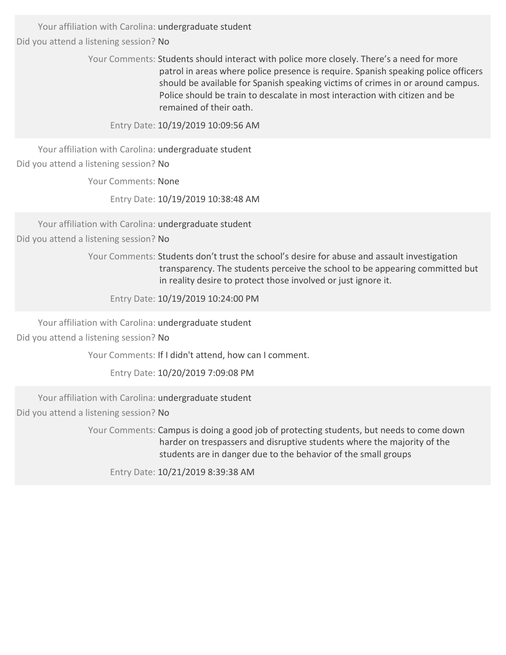> Your Comments: Students should interact with police more closely. There's a need for more patrol in areas where police presence is require. Spanish speaking police officers should be available for Spanish speaking victims of crimes in or around campus. Police should be train to descalate in most interaction with citizen and be remained of their oath.

Entry Date: 10/19/2019 10:09:56 AM

Your affiliation with Carolina: undergraduate student Did you attend a listening session? No

Your Comments: None

Entry Date: 10/19/2019 10:38:48 AM

Your affiliation with Carolina: undergraduate student Did you attend a listening session? No

> Your Comments: Students don't trust the school's desire for abuse and assault investigation transparency. The students perceive the school to be appearing committed but in reality desire to protect those involved or just ignore it.

Entry Date: 10/19/2019 10:24:00 PM

Your affiliation with Carolina: undergraduate student

Did you attend a listening session? No

Your Comments: If I didn't attend, how can I comment.

Entry Date: 10/20/2019 7:09:08 PM

Your affiliation with Carolina: undergraduate student

Did you attend a listening session? No

Your Comments: Campus is doing a good job of protecting students, but needs to come down harder on trespassers and disruptive students where the majority of the students are in danger due to the behavior of the small groups

Entry Date: 10/21/2019 8:39:38 AM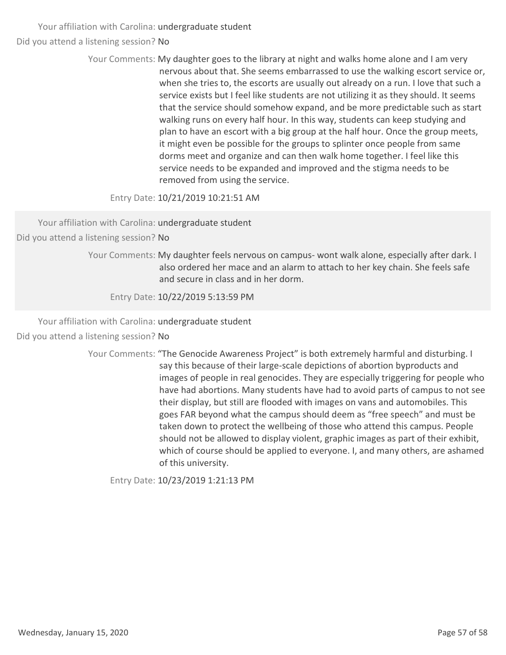> Your Comments: My daughter goes to the library at night and walks home alone and I am very nervous about that. She seems embarrassed to use the walking escort service or, when she tries to, the escorts are usually out already on a run. I love that such a service exists but I feel like students are not utilizing it as they should. It seems that the service should somehow expand, and be more predictable such as start walking runs on every half hour. In this way, students can keep studying and plan to have an escort with a big group at the half hour. Once the group meets, it might even be possible for the groups to splinter once people from same dorms meet and organize and can then walk home together. I feel like this service needs to be expanded and improved and the stigma needs to be removed from using the service.

Entry Date: 10/21/2019 10:21:51 AM

Your affiliation with Carolina: undergraduate student

Did you attend a listening session? No

Your Comments: My daughter feels nervous on campus- wont walk alone, especially after dark. I also ordered her mace and an alarm to attach to her key chain. She feels safe and secure in class and in her dorm.

Entry Date: 10/22/2019 5:13:59 PM

Your affiliation with Carolina: undergraduate student Did you attend a listening session? No

> Your Comments: "The Genocide Awareness Project" is both extremely harmful and disturbing. I say this because of their large‐scale depictions of abortion byproducts and images of people in real genocides. They are especially triggering for people who have had abortions. Many students have had to avoid parts of campus to not see their display, but still are flooded with images on vans and automobiles. This goes FAR beyond what the campus should deem as "free speech" and must be taken down to protect the wellbeing of those who attend this campus. People should not be allowed to display violent, graphic images as part of their exhibit, which of course should be applied to everyone. I, and many others, are ashamed of this university.

Entry Date: 10/23/2019 1:21:13 PM